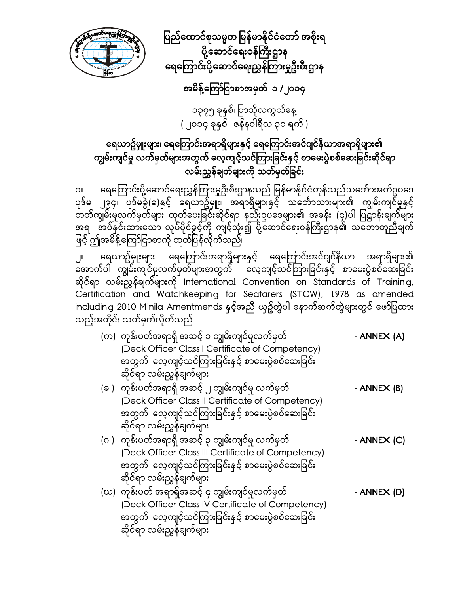

ပြည်ထောင်စုသမ္မတ မြန်မာနိုင်ငံတော် အစိုးရ ပို့ဆောင်ရေးဝန်ကြီးဌာန ရေကြောင်းပို့ဆောင်ရေးညွှန်ကြားမှုဦးစီးဌာန

# အမိန့်ကြော်ငြာစာအမှတ် ၁ /၂၀၁၄

၁၃၇၅ ခုနှစ်၊ ပြာသိုလကွယ်နေ့ ( ၂၀၁၄ ခုနှစ်၊ ဇန်နဝါရီလ ၃၀ ရက် )

# ရေယာဥ်မှူးများ၊ ရေကြောင်းအရာရှိများနှင့် ရေကြောင်းအင်ဂျင်နီယာအရာရှိများ၏ ကျွမ်းကျင်မှု လက်မှတ်များအတွက် လေ့ကျင့်သင်ကြားခြင်းနှင့် စာမေးပွဲစစ်ဆေးခြင်းဆိုင်ရာ လမ်းညွှန်ချက်များကို သတ်မှတ်ခြင်း

၁။ ေရေကြောင်းပို့ဆောင်ရေးညွှန်ကြားမှုဦးစီးဌာနသည် မြန်မာနိုင်ငံကုန်သည်သင်္ဘောအက်ဥပဒေ ပုဒ်မ ၂၉၄၊ ပုဒ်မခွဲ(ခ)နှင့် ရေယာဥ်မှူး၊ အရာရှိများနှင့် သင်္ဘောသားများ၏ ကျွမ်းကျင်မှုနှင့် တတ်ကျွမ်းမှုလက်မှတ်များ ထုတ်ပေးခြင်းဆိုင်ရာ နည်းဥပဒေများ၏ အခန်း (၄)ပါ ပြဋ္ဌာန်းချက်များ အရ အပ်နှင်းထားသော လုပ်ပိုင်ခွင့်ကို ကျင့်သုံး၍ ပို့ဆောင်ရေးဝန်ကြီးဌာန၏ သဘောတူညီချက် ဖြင့် ဤအမိန့်ကြော်ငြာစာကို ထုတ်ပြန်လိုက်သည်။

၂။ ရေယာဥ်မှူးများ၊ ရေကြောင်းအရာရှိများနှင့် ရေကြောင်းအင်ဂျင်နီယာ အရာရှိများ၏ အောက်ပါ ကျွမ်းကျင်မှုလက်မှတ်များအတွက် လေ့ကျင့်သင်ကြားခြင်းနှင့် စာမေးပွဲစစ်ဆေးခြင်း ဆိုင်ရာ လမ်းညွှန်ချက်များကို International Convention on Standards of Training, Certification and Watchkeeping for Seafarers (STCW), 1978 as amended including 2010 Minila Amentmends နှင့်အညီ ယှဥ်တွဲပါ နောက်ဆက်တွဲများတွင် ဖော်ပြထား သည့်အတိုင်း သတ်မှတ်လိုက်သည် -

|  | (က) ကုန်းပတ်အရာရှိ အဆင့် ၁ ကျွမ်းကျင်မှုလက်မှတ်     | - ANNEX (A)         |
|--|-----------------------------------------------------|---------------------|
|  | (Deck Officer Class I Certificate of Competency)    |                     |
|  | အတွက် လေ့ကျင့်သင်ကြားခြင်းနှင့် စာမေးပွဲစစ်ဆေးခြင်း |                     |
|  | ဆိုင်ရာ လမ်းညွှန်ချက်များ                           |                     |
|  | (ခ ) ကုန်းပတ်အရာရှိ အဆင့် ၂ ကျွမ်းကျင်မှု လက်မှတ်   | - ANNE $\times$ (B) |
|  | (Deck Officer Class II Certificate of Competency)   |                     |
|  | အတွက် လေ့ကျင့်သင်ကြားခြင်းနှင့် စာမေးပွဲစစ်ဆေးခြင်း |                     |
|  | ဆိုင်ရာ လမ်းညွှန်ချက်များ                           |                     |
|  | (ဂ ) ကုန်းပတ်အရာရှိ အဆင့် ၃ ကျွမ်းကျင်မှု လက်မှတ်   | - ANNEX (C)         |
|  | (Deck Officer Class III Certificate of Competency)  |                     |
|  | အတွက် လေ့ကျင့်သင်ကြားခြင်းနှင့် စာမေးပွဲစစ်ဆေးခြင်း |                     |
|  | ဆိုင်ရာ လမ်းညွှန်ချက်များ                           |                     |
|  | (ဃ) ကုန်းပတ် အရာရှိအဆင့် ၄ ကျွမ်းကျင်မှုလက်မှတ်     | - ANNEX (D)         |
|  | (Deck Officer Class IV Certificate of Competency)   |                     |
|  | အတွက် လေ့ကျင့်သင်ကြားခြင်းနှင့် စာမေးပွဲစစ်ဆေးခြင်း |                     |

ဆိုင်ရာ လမ်းညွှန်ချက်များ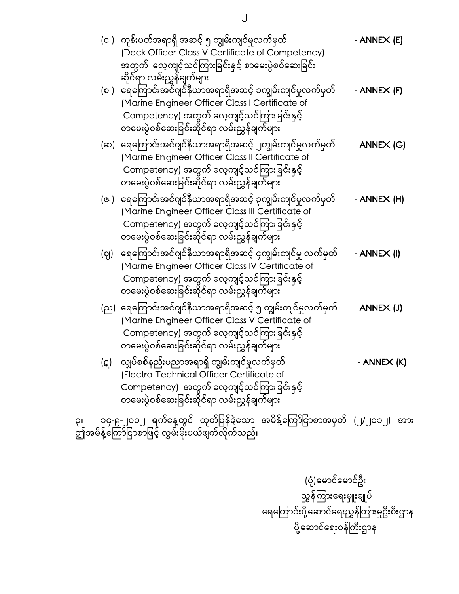|    |     | (င )   ကုန်းပတ်အရာရှိ အဆင့် ၅ ကျွမ်းကျင်မှုလက်မှတ်<br>(Deck Officer Class V Certificate of Competency)<br>အတွက် လေ့ကျင့်သင်ကြားခြင်းနှင့် စာမေးပွဲစစ်ဆေးခြင်း<br>ဆိုင်ရာ လမ်းညွှန်ချက်များ                     | - ANNE $X$ (E) |
|----|-----|----------------------------------------------------------------------------------------------------------------------------------------------------------------------------------------------------------------|----------------|
|    |     | (စ )   ရေကြောင်းအင်ဂျင်နီယာအရာရှိအဆင့် ၁ကျွမ်းကျင်မှုလက်မှတ်<br>(Marine Engineer Officer Class I Certificate of<br>Competency) အတွက် လေ့ကျင့်သင်ကြားခြင်းနှင့်<br>စာမေးပွဲစစ်ဆေးခြင်းဆိုင်ရာ လမ်းညွှန်ချက်များ | - ANNEX (F)    |
|    |     | (ဆ)  ရေကြောင်းအင်ဂျင်နီယာအရာရှိအဆင့် ၂ကျွမ်းကျင်မှုလက်မှတ်<br>(Marine Engineer Officer Class II Certificate of<br>Competency) အတွက် လေ့ကျင့်သင်ကြားခြင်းနှင့်<br>စာမေးပွဲစစ်ဆေးခြင်းဆိုင်ရာ လမ်းညွှန်ချက်များ  | - ANNEX (G)    |
|    |     | (ဇ၂ ရေကြောင်းအင်ဂျင်နီယာအရာရှိအဆင့် ၃ကျွမ်းကျင်မှုလက်မှတ်<br>(Marine Engineer Officer Class III Certificate of<br>Competency) အတွက် လေ့ကျင့်သင်ကြားခြင်းနှင့်<br>စာမေးပွဲစစ်ဆေးခြင်းဆိုင်ရာ လမ်းညွှန်ချက်များ  | - ANNEX (H)    |
|    | (ဈ) | ရေကြောင်းအင်ဂျင်နီယာအရာရှိအဆင့် ၄ကျွမ်းကျင်မှု လက်မှတ်<br>(Marine Engineer Officer Class IV Certificate of<br>Competency) အတွက် လေ့ကျင့်သင်ကြားခြင်းနှင့်<br>စာမေးပွဲစစ်ဆေးခြင်းဆိုင်ရာ လမ်းညွှန်ချက်များ      | - ANNEX (I)    |
|    |     | (ည)  ရေကြောင်းအင်ဂျင်နီယာအရာရှိအဆင့် ၅ ကျွမ်းကျင်မှုလက်မှတ်<br>(Marine Engineer Officer Class V Certificate of<br>Competency) အတွက် လေ့ကျင့်သင်ကြားခြင်းနှင့်<br>စာမေးပွဲစစ်ဆေးခြင်းဆိုင်ရာ လမ်းညွှန်ချက်များ  | - ANNEX (J)    |
|    |     | (ဋ) လျှပ်စစ်နည်းပညာအရာရှိ ကျွမ်းကျင်မှုလက်မှတ်<br>(Electro-Technical Officer Certificate of<br>Competency) အတွက် လေ့ကျင့်သင်ကြားခြင်းနှင့်<br>စာမေးပွဲစစ်ဆေးခြင်းဆိုင်ရာ လမ်းညွှန်ချက်များ                     | - ANNEX (K)    |
| ၃။ |     | ာ၄-၉-၂၀၁၂ ရက်နေ့တွင် ထုတ်ပြန်ခဲ့သော အမိန့်ကြော်ငြာစာအမှတ် (၂/၂၀၁၂) အား                                                                                                                                         |                |

ဤအမိန့်ကြော်ငြာစာဖြင့် လွှမ်းမိုးပယ်ဖျက်လိုက်သည်။

 (ပုံ)ေမာင်ေမာင်ဦး ညွှန်ကြားရေးမှူးချုပ် ရေကြောင်းပို့ဆောင်ရေးညွှန်ကြားမှုဦးစီးဌာန ပို့ဆောင်ရေးဝန်ကြီးဌာန

 $\bigcup$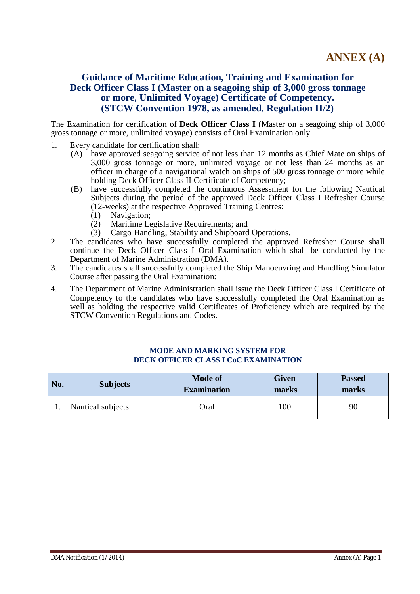# **Guidance of Maritime Education, Training and Examination for Deck Officer Class I (Master on a seagoing ship of 3,000 gross tonnage or more**, **Unlimited Voyage) Certificate of Competency. (STCW Convention 1978, as amended, Regulation II/2)**

The Examination for certification of **Deck Officer Class I** (Master on a seagoing ship of 3,000 gross tonnage or more, unlimited voyage) consists of Oral Examination only.

- 1. Every candidate for certification shall:
	- (A) have approved seagoing service of not less than 12 months as Chief Mate on ships of 3,000 gross tonnage or more, unlimited voyage or not less than 24 months as an officer in charge of a navigational watch on ships of 500 gross tonnage or more while holding Deck Officer Class II Certificate of Competency;
	- (B) have successfully completed the continuous Assessment for the following Nautical Subjects during the period of the approved Deck Officer Class I Refresher Course (12-weeks) at the respective Approved Training Centres:
		- (1) Navigation;
		- (2) Maritime Legislative Requirements; and
		- (3) Cargo Handling, Stability and Shipboard Operations.
- 2 The candidates who have successfully completed the approved Refresher Course shall continue the Deck Officer Class I Oral Examination which shall be conducted by the Department of Marine Administration (DMA).
- 3. The candidates shall successfully completed the Ship Manoeuvring and Handling Simulator Course after passing the Oral Examination:
- 4. The Department of Marine Administration shall issue the Deck Officer Class I Certificate of Competency to the candidates who have successfully completed the Oral Examination as well as holding the respective valid Certificates of Proficiency which are required by the STCW Convention Regulations and Codes.

#### **MODE AND MARKING SYSTEM FOR DECK OFFICER CLASS I CoC EXAMINATION**

| No. | <b>Subjects</b>   | <b>Mode of</b><br><b>Examination</b> | <b>Given</b><br>marks | <b>Passed</b><br>marks |  |
|-----|-------------------|--------------------------------------|-----------------------|------------------------|--|
|     | Nautical subjects | Oral                                 | 100                   | 90                     |  |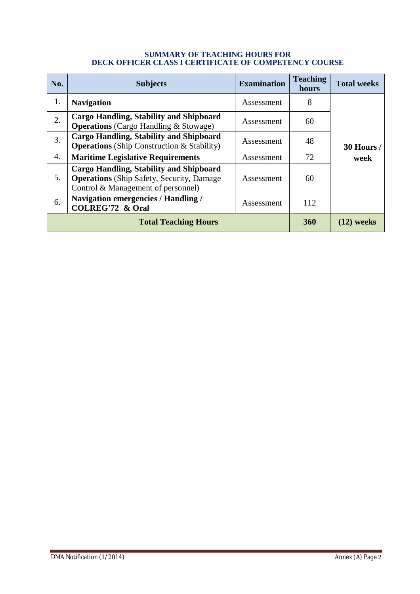#### **SUMMARY OF TEACHING HOURS FOR DECK OFFICER CLASS I CERTIFICATE OF COMPETENCY COURSE**

| No. | <b>Subjects</b>                                                                                                                   | <b>Examination</b> | <b>Teaching</b><br>hours | <b>Total weeks</b> |
|-----|-----------------------------------------------------------------------------------------------------------------------------------|--------------------|--------------------------|--------------------|
| 1.  | <b>Navigation</b>                                                                                                                 | Assessment         | 8                        |                    |
| 2.  | Cargo Handling, Stability and Shipboard<br><b>Operations</b> (Cargo Handling & Stowage)                                           | Assessment         | 60                       |                    |
| 3.  | <b>Cargo Handling, Stability and Shipboard</b><br>Assessment<br><b>Operations</b> (Ship Construction & Stability)                 |                    | 48                       | 30 Hours /         |
| 4.  | <b>Maritime Legislative Requirements</b>                                                                                          | Assessment         | 72                       | week               |
| 5.  | Cargo Handling, Stability and Shipboard<br><b>Operations</b> (Ship Safety, Security, Damage<br>Control & Management of personnel) | Assessment         | 60                       |                    |
| 6.  | <b>Navigation emergencies / Handling /</b><br><b>COLREG'72 &amp; Oral</b>                                                         | Assessment         | 112                      |                    |
|     | <b>Total Teaching Hours</b>                                                                                                       | <b>360</b>         | $(12)$ weeks             |                    |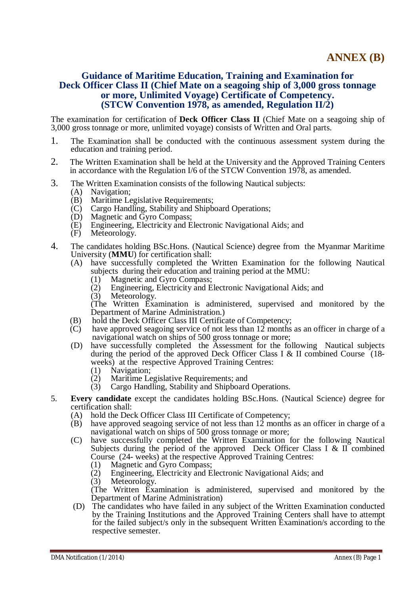### **Guidance of Maritime Education, Training and Examination for Deck Officer Class II (Chief Mate on a seagoing ship of 3,000 gross tonnage or more, Unlimited Voyage) Certificate of Competency. (STCW Convention 1978, as amended, Regulation II/2)**

The examination for certification of **Deck Officer Class II** (Chief Mate on a seagoing ship of 3,000 gross tonnage or more, unlimited voyage) consists of Written and Oral parts.

- 1. The Examination shall be conducted with the continuous assessment system during the education and training period.
- 2. The Written Examination shall be held at the University and the Approved Training Centers in accordance with the Regulation I/6 of the STCW Convention 1978, as amended.
- 3. The Written Examination consists of the following Nautical subjects:
	- (A) Navigation;
	- (B) Maritime Legislative Requirements;
	- (C) Cargo Handling, Stability and Shipboard Operations;
	- (D) Magnetic and Gyro Compass;
	- (E) Engineering, Electricity and Electronic Navigational Aids; and
	- (F) Meteorology.
- 4. The candidates holding BSc.Hons. (Nautical Science) degree from the Myanmar Maritime University (**MMU**) for certification shall:
	- (A) have successfully completed the Written Examination for the following Nautical subjects during their education and training period at the MMU:
		- (1) Magnetic and Gyro Compass;
		- (2) Engineering, Electricity and Electronic Navigational Aids; and
		- (3) Meteorology.

(The Written Examination is administered, supervised and monitored by the Department of Marine Administration.)

- (B) hold the Deck Officer Class III Certificate of Competency;<br>(C) have approved seagoing service of not less than 12 months
- have approved seagoing service of not less than  $12$  months as an officer in charge of a navigational watch on ships of 500 gross tonnage or more;
- (D) have successfully completed the Assessment for the following Nautical subjects during the period of the approved Deck Officer Class I & II combined Course (18 weeks) at the respective Approved Training Centres:
	- (1) Navigation;
	- (2) Maritime Legislative Requirements; and
	- (3) Cargo Handling, Stability and Shipboard Operations.
- 5. **Every candidate** except the candidates holding BSc.Hons. (Nautical Science) degree for certification shall:
	- (A) hold the Deck Officer Class III Certificate of Competency;
	- (B) have approved seagoing service of not less than 12 months as an officer in charge of a navigational watch on ships of 500 gross tonnage or more;
	- (C) have successfully completed the Written Examination for the following Nautical Subjects during the period of the approved Deck Officer Class I & II combined Course (24- weeks) at the respective Approved Training Centres:
		- (1) Magnetic and Gyro Compass;
		- (2) Engineering, Electricity and Electronic Navigational Aids; and
		- (3) Meteorology.

(The Written Examination is administered, supervised and monitored by the Department of Marine Administration)

(D) The candidates who have failed in any subject of the Written Examination conducted by the Training Institutions and the Approved Training Centers shall have to attempt for the failed subject/s only in the subsequent Written Examination/s according to the respective semester.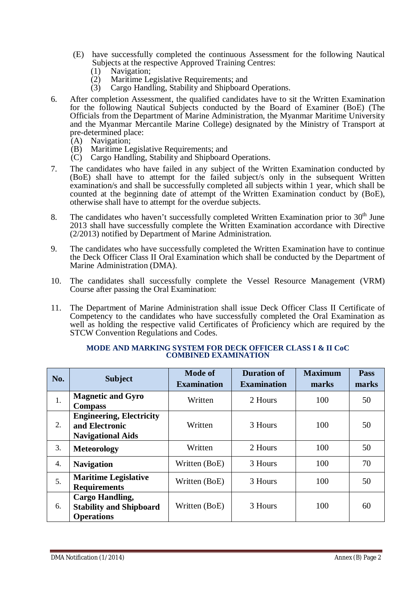- (E) have successfully completed the continuous Assessment for the following Nautical Subjects at the respective Approved Training Centres:
	- (1) Navigation;<br>(2) Maritime Le
	- Maritime Legislative Requirements; and
	- (3) Cargo Handling, Stability and Shipboard Operations.
- 6. After completion Assessment, the qualified candidates have to sit the Written Examination for the following Nautical Subjects conducted by the Board of Examiner (BoE) (The Officials from the Department of Marine Administration, the Myanmar Maritime University and the Myanmar Mercantile Marine College) designated by the Ministry of Transport at pre-determined place:
	- (A) Navigation;
	- (B) Maritime Legislative Requirements; and
	- (C) Cargo Handling, Stability and Shipboard Operations.
- 7. The candidates who have failed in any subject of the Written Examination conducted by (BoE) shall have to attempt for the failed subject/s only in the subsequent Written examination/s and shall be successfully completed all subjects within 1 year, which shall be counted at the beginning date of attempt of the Written Examination conduct by (BoE), otherwise shall have to attempt for the overdue subjects.
- 8. The candidates who haven't successfully completed Written Examination prior to  $30<sup>th</sup>$  June 2013 shall have successfully complete the Written Examination accordance with Directive (2/2013) notified by Department of Marine Administration.
- 9. The candidates who have successfully completed the Written Examination have to continue the Deck Officer Class II Oral Examination which shall be conducted by the Department of Marine Administration (DMA).
- 10. The candidates shall successfully complete the Vessel Resource Management (VRM) Course after passing the Oral Examination:
- 11. The Department of Marine Administration shall issue Deck Officer Class II Certificate of Competency to the candidates who have successfully completed the Oral Examination as well as holding the respective valid Certificates of Proficiency which are required by the STCW Convention Regulations and Codes.

| No. | <b>Subject</b>                                                                | <b>Mode of</b><br><b>Examination</b> | <b>Duration of</b><br><b>Examination</b> | <b>Maximum</b><br>marks | <b>Pass</b><br>marks |
|-----|-------------------------------------------------------------------------------|--------------------------------------|------------------------------------------|-------------------------|----------------------|
| 1.  | <b>Magnetic and Gyro</b><br><b>Compass</b>                                    | Written                              | 2 Hours                                  | 100                     | 50                   |
| 2.  | <b>Engineering, Electricity</b><br>and Electronic<br><b>Navigational Aids</b> | Written                              | 3 Hours                                  | 100                     | 50                   |
| 3.  | <b>Meteorology</b>                                                            | Written                              | 2 Hours                                  | 100                     | 50                   |
| 4.  | <b>Navigation</b>                                                             | Written (BoE)                        | 3 Hours                                  | 100                     | 70                   |
| 5.  | <b>Maritime Legislative</b><br><b>Requirements</b>                            | Written (BoE)                        | 3 Hours                                  | 100                     | 50                   |
| 6.  | <b>Cargo Handling,</b><br><b>Stability and Shipboard</b><br><b>Operations</b> | Written (BoE)                        | 3 Hours                                  | 100                     | 60                   |

#### **MODE AND MARKING SYSTEM FOR DECK OFFICER CLASS I & II CoC COMBINED EXAMINATION**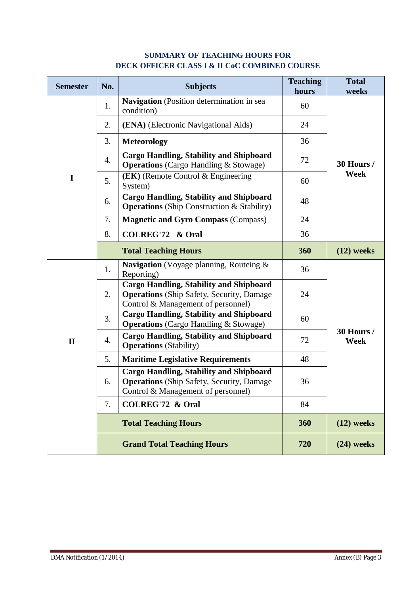| <b>Semester</b> | No. | <b>Subjects</b>                                                                                                                          | <b>Teaching</b><br>hours | <b>Total</b><br>weeks     |
|-----------------|-----|------------------------------------------------------------------------------------------------------------------------------------------|--------------------------|---------------------------|
|                 | 1.  | Navigation (Position determination in sea<br>condition)                                                                                  | 60                       |                           |
|                 | 2.  | (ENA) (Electronic Navigational Aids)                                                                                                     | 24                       |                           |
|                 | 3.  | <b>Meteorology</b>                                                                                                                       | 36                       |                           |
|                 | 4.  | <b>Cargo Handling, Stability and Shipboard</b><br><b>Operations</b> (Cargo Handling & Stowage)                                           | 72                       | 30 Hours /                |
| I               | 5.  | $(EK)$ (Remote Control & Engineering)<br>System)                                                                                         | 60                       | <b>Week</b>               |
|                 | 6.  | <b>Cargo Handling, Stability and Shipboard</b><br><b>Operations</b> (Ship Construction & Stability)                                      | 48                       |                           |
|                 | 7.  | <b>Magnetic and Gyro Compass (Compass)</b>                                                                                               | 24                       |                           |
|                 | 8.  | <b>COLREG'72 &amp; Oral</b>                                                                                                              | 36                       |                           |
|                 |     | <b>Total Teaching Hours</b>                                                                                                              | 360                      | $(12)$ weeks              |
|                 | 1.  | Navigation (Voyage planning, Routeing &<br>Reporting)                                                                                    | 36                       |                           |
|                 | 2.  | <b>Cargo Handling, Stability and Shipboard</b><br><b>Operations</b> (Ship Safety, Security, Damage<br>Control & Management of personnel) | 24                       |                           |
|                 | 3.  | <b>Cargo Handling, Stability and Shipboard</b><br><b>Operations</b> (Cargo Handling & Stowage)                                           | 60                       |                           |
| $\mathbf{I}$    | 4.  | <b>Cargo Handling, Stability and Shipboard</b><br><b>Operations</b> (Stability)                                                          | 72                       | 30 Hours /<br><b>Week</b> |
|                 | 5.  | <b>Maritime Legislative Requirements</b>                                                                                                 | 48                       |                           |
|                 | 6.  | <b>Cargo Handling, Stability and Shipboard</b><br><b>Operations</b> (Ship Safety, Security, Damage<br>Control & Management of personnel) | 36                       |                           |
|                 | 7.  | <b>COLREG'72 &amp; Oral</b>                                                                                                              | 84                       |                           |
|                 |     | <b>Total Teaching Hours</b>                                                                                                              | 360                      | $(12)$ weeks              |
|                 |     | <b>Grand Total Teaching Hours</b>                                                                                                        | 720                      | $(24)$ weeks              |

# **SUMMARY OF TEACHING HOURS FOR DECK OFFICER CLASS I & II CoC COMBINED COURSE**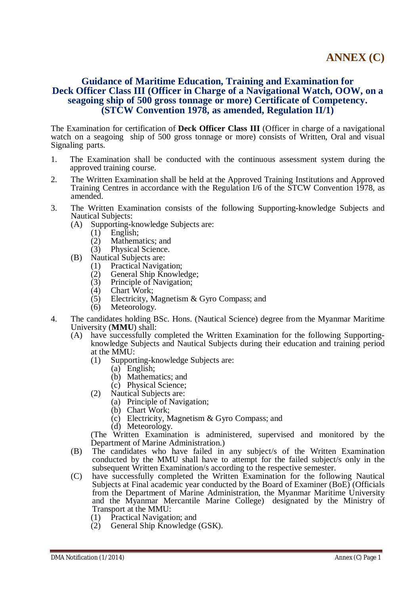### **Guidance of Maritime Education, Training and Examination for Deck Officer Class III (Officer in Charge of a Navigational Watch, OOW, on a seagoing ship of 500 gross tonnage or more) Certificate of Competency. (STCW Convention 1978, as amended, Regulation II/1)**

The Examination for certification of **Deck Officer Class III** (Officer in charge of a navigational watch on a seagoing ship of 500 gross tonnage or more) consists of Written, Oral and visual Signaling parts.

- 1. The Examination shall be conducted with the continuous assessment system during the approved training course.
- 2. The Written Examination shall be held at the Approved Training Institutions and Approved Training Centres in accordance with the Regulation I/6 of the STCW Convention 1978, as amended.
- 3. The Written Examination consists of the following Supporting-knowledge Subjects and Nautical Subjects:
	- (A) Supporting-knowledge Subjects are:
		- $(1)$  English;
		- (2) Mathematics; and
		- (3) Physical Science.
	- (B) Nautical Subjects are:
		- (1) Practical Navigation;<br>(2) General Ship Knowle
		- $\chi$  General Ship Knowledge;<br>(3) Principle of Navigation;
		- Principle of Navigation;
		- (4) Chart Work;<br>(5) Electricity, N
		- Electricity, Magnetism & Gyro Compass; and
		- (6) Meteorology.
- 4. The candidates holding BSc. Hons. (Nautical Science) degree from the Myanmar Maritime University (**MMU**) shall:
	- (A) have successfully completed the Written Examination for the following Supportingknowledge Subjects and Nautical Subjects during their education and training period at the MMU:
		- (1) Supporting-knowledge Subjects are:
			- (a) English;
			- (b) Mathematics; and
			- (c) Physical Science;
		- (2) Nautical Subjects are:
			- (a) Principle of Navigation;
			- (b) Chart Work;
			- (c) Electricity, Magnetism & Gyro Compass; and
			- (d) Meteorology.

- (B) The candidates who have failed in any subject/s of the Written Examination conducted by the MMU shall have to attempt for the failed subject/s only in the subsequent Written Examination/s according to the respective semester.
- (C) have successfully completed the Written Examination for the following Nautical Subjects at Final academic year conducted by the Board of Examiner (BoE) (Officials from the Department of Marine Administration, the Myanmar Maritime University and the Myanmar Mercantile Marine College) designated by the Ministry of Transport at the MMU:
	- (1) Practical Navigation; and
	- $(2)$  General Ship Knowledge (GSK).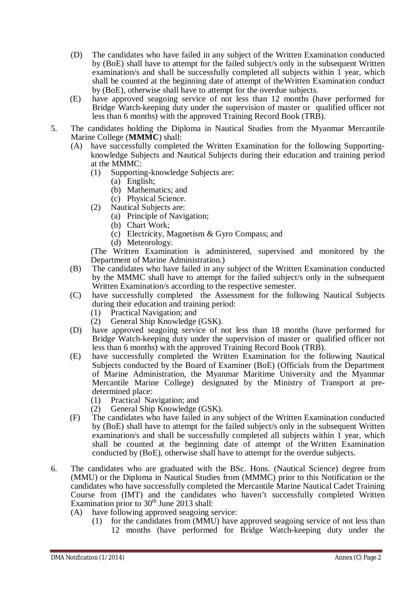- (D) The candidates who have failed in any subject of the Written Examination conducted by (BoE) shall have to attempt for the failed subject/s only in the subsequent Written examination/s and shall be successfully completed all subjects within 1 year, which shall be counted at the beginning date of attempt of theWritten Examination conduct by (BoE), otherwise shall have to attempt for the overdue subjects.
- (E) have approved seagoing service of not less than 12 months (have performed for Bridge Watch-keeping duty under the supervision of master or qualified officer not less than 6 months) with the approved Training Record Book (TRB).
- 5. The candidates holding the Diploma in Nautical Studies from the Myanmar Mercantile Marine College (**MMMC**) shall:
	- (A) have successfully completed the Written Examination for the following Supportingknowledge Subjects and Nautical Subjects during their education and training period at the MMMC:
		- (1) Supporting-knowledge Subjects are:
			- (a) English;
			- (b) Mathematics; and
			- (c) Physical Science.
		- (2) Nautical Subjects are:
			- (a) Principle of Navigation;
			- (b) Chart Work;
			- (c) Electricity, Magnetism & Gyro Compass; and
			- (d) Meteorology.

- (B) The candidates who have failed in any subject of the Written Examination conducted by the MMMC shall have to attempt for the failed subject/s only in the subsequent Written Examination/s according to the respective semester.
- (C) have successfully completed the Assessment for the following Nautical Subjects during their education and training period:
	- (1) Practical Navigation; and
	- (2) General Ship Knowledge (GSK).
- (D) have approved seagoing service of not less than 18 months (have performed for Bridge Watch-keeping duty under the supervision of master or qualified officer not less than 6 months) with the approved Training Record Book (TRB).
- (E) have successfully completed the Written Examination for the following Nautical Subjects conducted by the Board of Examiner (BoE) (Officials from the Department of Marine Administration, the Myanmar Maritime University and the Myanmar Mercantile Marine College) designated by the Ministry of Transport at predetermined place:
	- (1) Practical Navigation; and
	- (2) General Ship Knowledge (GSK).
- (F) The candidates who have failed in any subject of the Written Examination conducted by (BoE) shall have to attempt for the failed subject/s only in the subsequent Written examination/s and shall be successfully completed all subjects within 1 year, which shall be counted at the beginning date of attempt of the Written Examination conducted by (BoE), otherwise shall have to attempt for the overdue subjects.
- 6. The candidates who are graduated with the BSc. Hons. (Nautical Science) degree from (MMU) or the Diploma in Nautical Studies from (MMMC) prior to this Notification or the candidates who have successfully completed the Mercantile Marine Nautical Cadet Training Course from (IMT) and the candidates who haven't successfully completed Written Examination prior to  $30<sup>th</sup>$  June 2013 shall:
	- (A) have following approved seagoing service:
		- (1) for the candidates from (MMU) have approved seagoing service of not less than 12 months (have performed for Bridge Watch-keeping duty under the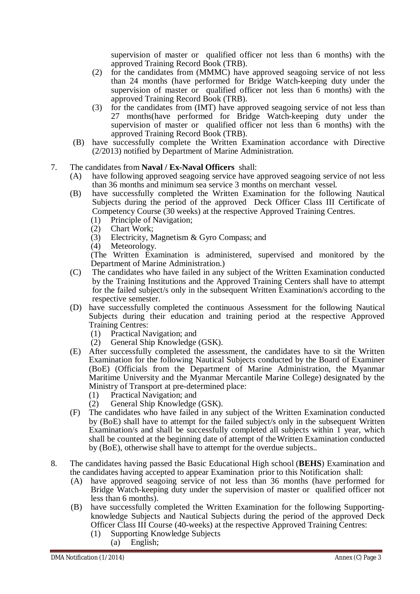supervision of master or qualified officer not less than 6 months) with the approved Training Record Book (TRB).

- (2) for the candidates from (MMMC) have approved seagoing service of not less than 24 months (have performed for Bridge Watch-keeping duty under the supervision of master or qualified officer not less than 6 months) with the approved Training Record Book (TRB).
- (3) for the candidates from (IMT) have approved seagoing service of not less than 27 months(have performed for Bridge Watch-keeping duty under the supervision of master or qualified officer not less than 6 months) with the approved Training Record Book (TRB).
- (B) have successfully complete the Written Examination accordance with Directive (2/2013) notified by Department of Marine Administration.
- 7. The candidates from **Naval / Ex-Naval Officers** shall:
	- (A) have following approved seagoing service have approved seagoing service of not less than 36 months and minimum sea service 3 months on merchant vessel.
	- (B) have successfully completed the Written Examination for the following Nautical Subjects during the period of the approved Deck Officer Class III Certificate of Competency Course (30 weeks) at the respective Approved Training Centres.
		- (1) Principle of Navigation;<br>(2) Chart Work;
		- Chart Work;
		- (3) Electricity, Magnetism & Gyro Compass; and
		- (4) Meteorology.

- (C) The candidates who have failed in any subject of the Written Examination conducted by the Training Institutions and the Approved Training Centers shall have to attempt for the failed subject/s only in the subsequent Written Examination/s according to the respective semester.
- (D) have successfully completed the continuous Assessment for the following Nautical Subjects during their education and training period at the respective Approved Training Centres:
	- (1) Practical Navigation; and
	- (2) General Ship Knowledge (GSK).
- (E) After successfully completed the assessment, the candidates have to sit the Written Examination for the following Nautical Subjects conducted by the Board of Examiner (BoE) (Officials from the Department of Marine Administration, the Myanmar Maritime University and the Myanmar Mercantile Marine College) designated by the Ministry of Transport at pre-determined place:
	- (1) Practical Navigation; and
	- (2) General Ship Knowledge (GSK).
- (F) The candidates who have failed in any subject of the Written Examination conducted by (BoE) shall have to attempt for the failed subject/s only in the subsequent Written Examination/s and shall be successfully completed all subjects within 1 year, which shall be counted at the beginning date of attempt of theWritten Examination conducted by (BoE), otherwise shall have to attempt for the overdue subjects..
- 8. The candidates having passed the Basic Educational High school (**BEHS**) Examination and the candidates having accepted to appear Examination prior to this Notification shall:
	- (A) have approved seagoing service of not less than 36 months (have performed for Bridge Watch-keeping duty under the supervision of master or qualified officer not less than 6 months).
	- (B) have successfully completed the Written Examination for the following Supportingknowledge Subjects and Nautical Subjects during the period of the approved Deck Officer Class III Course (40-weeks) at the respective Approved Training Centres:
		- (1) Supporting Knowledge Subjects (a) English;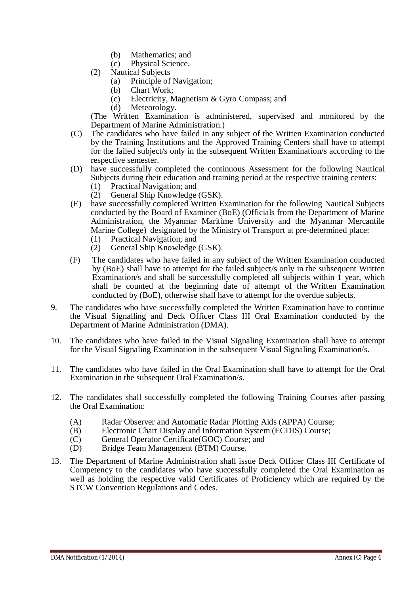- (b) Mathematics; and
- (c) Physical Science.
- (2) Nautical Subjects
	- (a) Principle of Navigation;
	- (b) Chart Work;
	- (c) Electricity, Magnetism & Gyro Compass; and
	- (d) Meteorology.

- (C) The candidates who have failed in any subject of the Written Examination conducted by the Training Institutions and the Approved Training Centers shall have to attempt for the failed subject/s only in the subsequent Written Examination/s according to the respective semester.
- (D) have successfully completed the continuous Assessment for the following Nautical Subjects during their education and training period at the respective training centers:
	- (1) Practical Navigation; and
	- (2) General Ship Knowledge (GSK).
- (E) have successfully completed Written Examination for the following Nautical Subjects conducted by the Board of Examiner (BoE) (Officials from the Department of Marine Administration, the Myanmar Maritime University and the Myanmar Mercantile Marine College) designated by the Ministry of Transport at pre-determined place:
	- (1) Practical Navigation; and
	- (2) General Ship Knowledge (GSK).
- (F) The candidates who have failed in any subject of the Written Examination conducted by (BoE) shall have to attempt for the failed subject/s only in the subsequent Written Examination/s and shall be successfully completed all subjects within 1 year, which shall be counted at the beginning date of attempt of the Written Examination conducted by (BoE), otherwise shall have to attempt for the overdue subjects.
- 9. The candidates who have successfully completed the Written Examination have to continue the Visual Signalling and Deck Officer Class III Oral Examination conducted by the Department of Marine Administration (DMA).
- 10. The candidates who have failed in the Visual Signaling Examination shall have to attempt for the Visual Signaling Examination in the subsequent Visual Signaling Examination/s.
- 11. The candidates who have failed in the Oral Examination shall have to attempt for the Oral Examination in the subsequent Oral Examination/s.
- 12. The candidates shall successfully completed the following Training Courses after passing the Oral Examination:
	- (A) Radar Observer and Automatic Radar Plotting Aids (APPA) Course;
	- (B) Electronic Chart Display and Information System (ECDIS) Course;
	- (C) General Operator Certificate(GOC) Course; and
	- (D) Bridge Team Management (BTM) Course.
- 13. The Department of Marine Administration shall issue Deck Officer Class III Certificate of Competency to the candidates who have successfully completed the Oral Examination as well as holding the respective valid Certificates of Proficiency which are required by the STCW Convention Regulations and Codes.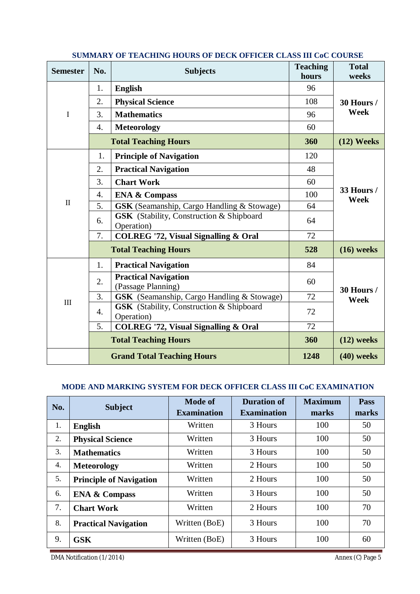| <b>Semester</b> | No.              | <b>Subjects</b>                                               | <b>Teaching</b><br>hours | <b>Total</b><br>weeks     |  |
|-----------------|------------------|---------------------------------------------------------------|--------------------------|---------------------------|--|
|                 | 1.               | <b>English</b>                                                | 96                       |                           |  |
|                 | 2.               | <b>Physical Science</b>                                       | 108                      | 30 Hours /                |  |
| I               | 3.               | <b>Mathematics</b>                                            | 96                       | Week                      |  |
|                 | 4.               | <b>Meteorology</b>                                            | 60                       |                           |  |
|                 |                  | <b>Total Teaching Hours</b>                                   | 360                      | $(12)$ Weeks              |  |
|                 | 1.               | <b>Principle of Navigation</b>                                | 120                      |                           |  |
|                 | 2.               | <b>Practical Navigation</b>                                   | 48                       |                           |  |
|                 | 3.               | <b>Chart Work</b>                                             | 60                       |                           |  |
|                 | 4.               | <b>ENA &amp; Compass</b>                                      | 100                      | <b>33 Hours /</b><br>Week |  |
| $\mathbf{I}$    | 5.               | <b>GSK</b> (Seamanship, Cargo Handling & Stowage)             | 64                       |                           |  |
|                 | 6.               | <b>GSK</b> (Stability, Construction & Shipboard<br>Operation) | 64                       |                           |  |
|                 | 7.               | <b>COLREG '72, Visual Signalling &amp; Oral</b>               | 72                       |                           |  |
|                 |                  | <b>Total Teaching Hours</b>                                   | 528                      | $(16)$ weeks              |  |
|                 | 1.               | <b>Practical Navigation</b>                                   | 84                       |                           |  |
|                 | 2.               | <b>Practical Navigation</b><br>(Passage Planning)             | 60                       | 30 Hours /                |  |
| $\rm III$       | 3.               | <b>GSK</b> (Seamanship, Cargo Handling & Stowage)             | 72                       | Week                      |  |
|                 | $\overline{4}$ . | <b>GSK</b> (Stability, Construction & Shipboard<br>Operation) | 72                       |                           |  |
|                 | 5.               | <b>COLREG '72, Visual Signalling &amp; Oral</b>               | 72                       |                           |  |
|                 |                  | <b>Total Teaching Hours</b>                                   | 360                      | $(12)$ weeks              |  |
|                 |                  | <b>Grand Total Teaching Hours</b>                             | 1248                     | $(40)$ weeks              |  |

# **SUMMARY OF TEACHING HOURS OF DECK OFFICER CLASS III CoC COURSE**

#### **MODE AND MARKING SYSTEM FOR DECK OFFICER CLASS III CoC EXAMINATION**

| No. | <b>Subject</b>                 | <b>Mode of</b>     | <b>Duration of</b> | <b>Maximum</b> | Pass  |
|-----|--------------------------------|--------------------|--------------------|----------------|-------|
|     |                                | <b>Examination</b> | <b>Examination</b> | marks          | marks |
| 1.  | <b>English</b>                 | Written            | 3 Hours            | 100            | 50    |
| 2.  | <b>Physical Science</b>        | Written            | 3 Hours            | 100            | 50    |
| 3.  | <b>Mathematics</b>             | Written            | 3 Hours            | 100            | 50    |
| 4.  | <b>Meteorology</b>             | Written            | 2 Hours            | 100            | 50    |
| 5.  | <b>Principle of Navigation</b> | Written            | 2 Hours            | 100            | 50    |
| 6.  | <b>ENA &amp; Compass</b>       | Written            | 3 Hours            | 100            | 50    |
| 7.  | <b>Chart Work</b>              | Written            | 2 Hours            | 100            | 70    |
| 8.  | <b>Practical Navigation</b>    | Written (BoE)      | 3 Hours            | 100            | 70    |
| 9.  | <b>GSK</b>                     | Written (BoE)      | 3 Hours            | 100            | 60    |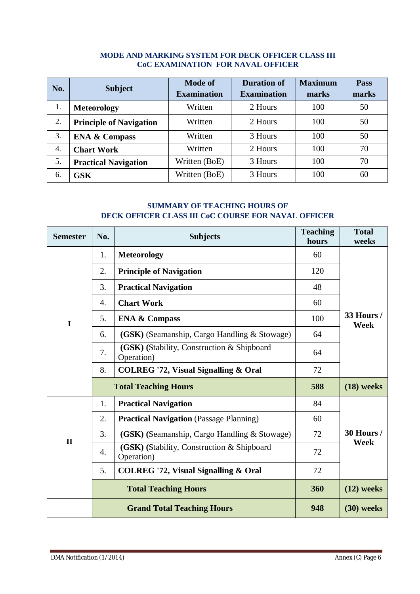#### **MODE AND MARKING SYSTEM FOR DECK OFFICER CLASS III CoC EXAMINATION FOR NAVAL OFFICER**

| No. | <b>Subject</b>                 | <b>Mode of</b><br><b>Examination</b> | <b>Duration of</b><br><b>Examination</b> | <b>Maximum</b><br>marks | <b>Pass</b><br>marks |
|-----|--------------------------------|--------------------------------------|------------------------------------------|-------------------------|----------------------|
| 1.  | <b>Meteorology</b>             | Written                              | 2 Hours                                  | 100                     | 50                   |
| 2.  | <b>Principle of Navigation</b> | Written                              | 2 Hours                                  | 100                     | 50                   |
| 3.  | <b>ENA &amp; Compass</b>       | Written                              | 3 Hours                                  | 100                     | 50                   |
| 4.  | <b>Chart Work</b>              | Written                              | 2 Hours                                  | 100                     | 70                   |
| 5.  | <b>Practical Navigation</b>    | Written (BoE)                        | 3 Hours                                  | 100                     | 70                   |
| 6.  | <b>GSK</b>                     | Written (BoE)                        | 3 Hours                                  | 100                     | 60                   |

### **SUMMARY OF TEACHING HOURS OF DECK OFFICER CLASS III CoC COURSE FOR NAVAL OFFICER**

| <b>Semester</b> | No.              | <b>Subjects</b>                                          | <b>Teaching</b><br>hours | <b>Total</b><br>weeks     |  |  |
|-----------------|------------------|----------------------------------------------------------|--------------------------|---------------------------|--|--|
|                 | 1.               | <b>Meteorology</b>                                       | 60                       |                           |  |  |
|                 | 2.               | <b>Principle of Navigation</b>                           | 120                      |                           |  |  |
|                 | 3.               | <b>Practical Navigation</b>                              | 48                       |                           |  |  |
|                 | $\overline{4}$ . | <b>Chart Work</b>                                        | 60                       |                           |  |  |
| $\mathbf I$     | 5.               | <b>ENA &amp; Compass</b>                                 | 100                      | <b>33 Hours /</b><br>Week |  |  |
|                 | 6.               | (GSK) (Seamanship, Cargo Handling & Stowage)             | 64                       |                           |  |  |
|                 | 7.               | (GSK) (Stability, Construction & Shipboard<br>Operation) | 64                       |                           |  |  |
|                 | 8.               | <b>COLREG '72, Visual Signalling &amp; Oral</b>          | 72                       |                           |  |  |
|                 |                  | <b>Total Teaching Hours</b>                              | 588                      | $(18)$ weeks              |  |  |
|                 | 1.               | <b>Practical Navigation</b>                              | 84                       |                           |  |  |
|                 | 2.               | <b>Practical Navigation</b> (Passage Planning)           | 60                       |                           |  |  |
| $\mathbf{I}$    | 3.               | (GSK) (Seamanship, Cargo Handling & Stowage)             | 72                       | 30 Hours /                |  |  |
|                 | 4.               | (GSK) (Stability, Construction & Shipboard<br>Operation) | 72                       | Week                      |  |  |
|                 | 5.               | <b>COLREG '72, Visual Signalling &amp; Oral</b>          | 72                       |                           |  |  |
|                 |                  | <b>Total Teaching Hours</b>                              | 360                      | $(12)$ weeks              |  |  |
|                 |                  | <b>Grand Total Teaching Hours</b>                        | 948                      | $(30)$ weeks              |  |  |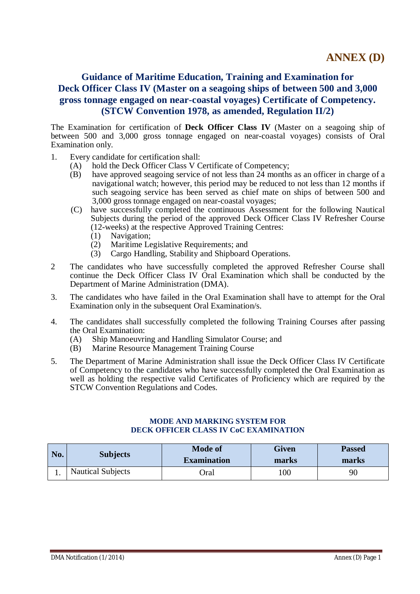# **Guidance of Maritime Education, Training and Examination for Deck Officer Class IV (Master on a seagoing ships of between 500 and 3,000 gross tonnage engaged on near-coastal voyages) Certificate of Competency. (STCW Convention 1978, as amended, Regulation II/2)**

The Examination for certification of **Deck Officer Class IV** (Master on a seagoing ship of between 500 and 3,000 gross tonnage engaged on near-coastal voyages) consists of Oral Examination only.

- 1. Every candidate for certification shall:
	- (A) hold the Deck Officer Class V Certificate of Competency;
	- (B) have approved seagoing service of not less than 24 months as an officer in charge of a navigational watch; however, this period may be reduced to not less than 12 months if such seagoing service has been served as chief mate on ships of between 500 and 3,000 gross tonnage engaged on near-coastal voyages;
	- (C) have successfully completed the continuous Assessment for the following Nautical Subjects during the period of the approved Deck Officer Class IV Refresher Course (12-weeks) at the respective Approved Training Centres:
		-
		- (1) Navigation;<br>(2) Maritime Le Maritime Legislative Requirements; and
		- (3) Cargo Handling, Stability and Shipboard Operations.
- 2 The candidates who have successfully completed the approved Refresher Course shall continue the Deck Officer Class IV Oral Examination which shall be conducted by the Department of Marine Administration (DMA).
- 3. The candidates who have failed in the Oral Examination shall have to attempt for the Oral Examination only in the subsequent Oral Examination/s.
- 4. The candidates shall successfully completed the following Training Courses after passing the Oral Examination:
	- (A) Ship Manoeuvring and Handling Simulator Course; and
	- (B) Marine Resource Management Training Course
- 5. The Department of Marine Administration shall issue the Deck Officer Class IV Certificate of Competency to the candidates who have successfully completed the Oral Examination as well as holding the respective valid Certificates of Proficiency which are required by the STCW Convention Regulations and Codes.

#### **MODE AND MARKING SYSTEM FOR DECK OFFICER CLASS IV CoC EXAMINATION**

| No. | <b>Subjects</b>          | <b>Mode of</b><br><b>Examination</b> | <b>Given</b><br>marks | <b>Passed</b><br>marks |
|-----|--------------------------|--------------------------------------|-----------------------|------------------------|
|     | <b>Nautical Subjects</b> | )ral                                 | 100                   | 90                     |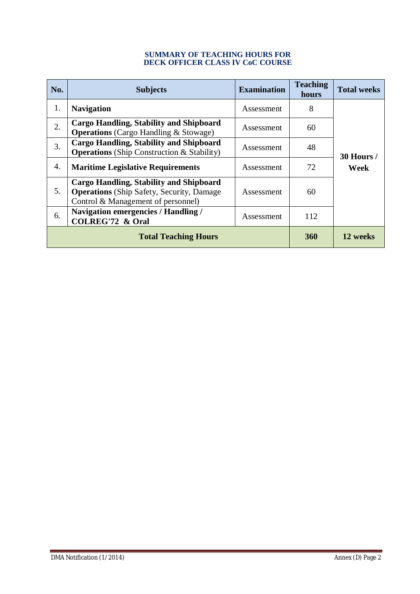#### **SUMMARY OF TEACHING HOURS FOR DECK OFFICER CLASS IV CoC COURSE**

| No. | <b>Subjects</b>                                                                                                                   | <b>Examination</b> | <b>Teaching</b><br>hours | <b>Total weeks</b> |
|-----|-----------------------------------------------------------------------------------------------------------------------------------|--------------------|--------------------------|--------------------|
| 1.  | <b>Navigation</b>                                                                                                                 | Assessment         | 8                        |                    |
| 2.  | Cargo Handling, Stability and Shipboard<br><b>Operations</b> (Cargo Handling & Stowage)                                           | Assessment         | 60                       |                    |
| 3.  | <b>Cargo Handling, Stability and Shipboard</b><br><b>Operations</b> (Ship Construction & Stability)                               | Assessment         | 48                       | 30 Hours /         |
| 4.  | <b>Maritime Legislative Requirements</b>                                                                                          | Assessment         | 72                       | Week               |
| 5.  | Cargo Handling, Stability and Shipboard<br><b>Operations</b> (Ship Safety, Security, Damage<br>Control & Management of personnel) | Assessment         | 60                       |                    |
| 6.  | <b>Navigation emergencies / Handling /</b><br><b>COLREG'72 &amp; Oral</b>                                                         | Assessment         | 112                      |                    |
|     | <b>Total Teaching Hours</b>                                                                                                       | <b>360</b>         | 12 weeks                 |                    |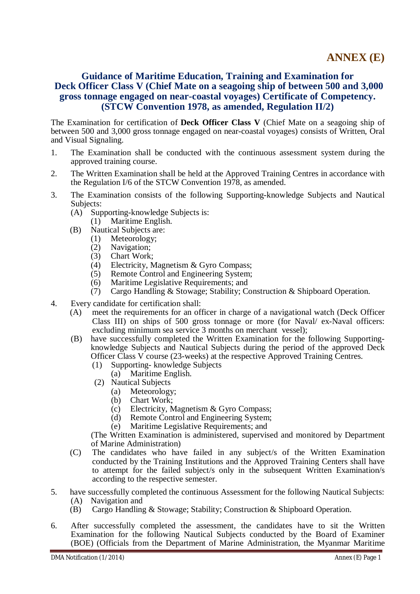# **Guidance of Maritime Education, Training and Examination for Deck Officer Class V (Chief Mate on a seagoing ship of between 500 and 3,000 gross tonnage engaged on near-coastal voyages) Certificate of Competency. (STCW Convention 1978, as amended, Regulation II/2)**

The Examination for certification of **Deck Officer Class V** (Chief Mate on a seagoing ship of between 500 and 3,000 gross tonnage engaged on near-coastal voyages) consists of Written, Oral and Visual Signaling.

- 1. The Examination shall be conducted with the continuous assessment system during the approved training course.
- 2. The Written Examination shall be held at the Approved Training Centres in accordance with the Regulation I/6 of the STCW Convention 1978, as amended.
- 3. The Examination consists of the following Supporting-knowledge Subjects and Nautical Subjects:
	- (A) Supporting-knowledge Subjects is:
		- (1) Maritime English.
	- (B) Nautical Subjects are:
		- (1) Meteorology;
		- (2) Navigation;
		- (3) Chart Work;<br>(4) Electricity. N
		- Electricity, Magnetism & Gyro Compass;
		- (5) Remote Control and Engineering System;
		- (6) Maritime Legislative Requirements; and
		- (7) Cargo Handling & Stowage; Stability; Construction & Shipboard Operation.
- 4. Every candidate for certification shall:
	- (A) meet the requirements for an officer in charge of a navigational watch (Deck Officer Class III) on ships of 500 gross tonnage or more (for Naval/ ex-Naval officers: excluding minimum sea service 3 months on merchant vessel);
	- (B) have successfully completed the Written Examination for the following Supportingknowledge Subjects and Nautical Subjects during the period of the approved Deck Officer Class V course (23-weeks) at the respective Approved Training Centres.
		- (1) Supporting- knowledge Subjects
			- (a) Maritime English.
		- (2) Nautical Subjects
			- (a) Meteorology;
			- (b) Chart Work;
			- (c) Electricity, Magnetism & Gyro Compass;
			- (d) Remote Control and Engineering System;
			- (e) Maritime Legislative Requirements; and

- (C) The candidates who have failed in any subject/s of the Written Examination conducted by the Training Institutions and the Approved Training Centers shall have to attempt for the failed subject/s only in the subsequent Written Examination/s according to the respective semester.
- 5. have successfully completed the continuous Assessment for the following Nautical Subjects:
	- (A) Navigation and
	- (B) Cargo Handling & Stowage; Stability; Construction & Shipboard Operation.
- 6. After successfully completed the assessment, the candidates have to sit the Written Examination for the following Nautical Subjects conducted by the Board of Examiner (BOE) (Officials from the Department of Marine Administration, the Myanmar Maritime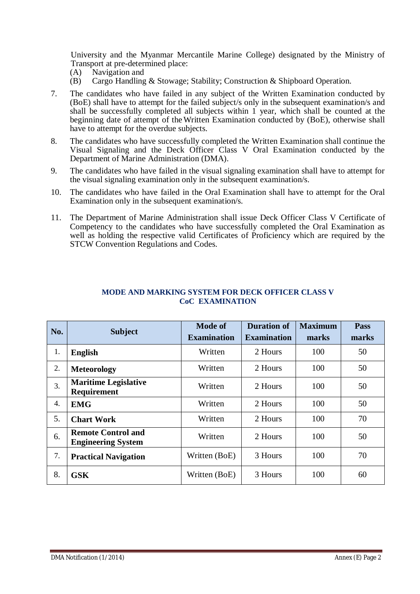University and the Myanmar Mercantile Marine College) designated by the Ministry of Transport at pre-determined place:

- (A) Navigation and
- (B) Cargo Handling & Stowage; Stability; Construction & Shipboard Operation.
- 7. The candidates who have failed in any subject of the Written Examination conducted by (BoE) shall have to attempt for the failed subject/s only in the subsequent examination/s and shall be successfully completed all subjects within 1 year, which shall be counted at the beginning date of attempt of theWritten Examination conducted by (BoE), otherwise shall have to attempt for the overdue subjects.
- 8. The candidates who have successfully completed the Written Examination shall continue the Visual Signaling and the Deck Officer Class V Oral Examination conducted by the Department of Marine Administration (DMA).
- 9. The candidates who have failed in the visual signaling examination shall have to attempt for the visual signaling examination only in the subsequent examination/s.
- 10. The candidates who have failed in the Oral Examination shall have to attempt for the Oral Examination only in the subsequent examination/s.
- 11. The Department of Marine Administration shall issue Deck Officer Class V Certificate of Competency to the candidates who have successfully completed the Oral Examination as well as holding the respective valid Certificates of Proficiency which are required by the STCW Convention Regulations and Codes.

| No. | <b>Subject</b>                                         | Mode of<br><b>Examination</b> | <b>Duration of</b><br><b>Examination</b> | <b>Maximum</b><br>marks | Pass<br>marks |
|-----|--------------------------------------------------------|-------------------------------|------------------------------------------|-------------------------|---------------|
| 1.  | <b>English</b>                                         | Written                       | 2 Hours                                  | 100                     | 50            |
| 2.  | <b>Meteorology</b>                                     | Written                       | 2 Hours                                  | 100                     | 50            |
| 3.  | <b>Maritime Legislative</b><br><b>Requirement</b>      | Written                       | 2 Hours                                  | 100                     | 50            |
| 4.  | <b>EMG</b>                                             | Written                       | 2 Hours                                  | 100                     | 50            |
| 5.  | <b>Chart Work</b>                                      | Written                       | 2 Hours                                  | 100                     | 70            |
| 6.  | <b>Remote Control and</b><br><b>Engineering System</b> | Written                       | 2 Hours                                  | 100                     | 50            |
| 7.  | <b>Practical Navigation</b>                            | Written (BoE)                 | 3 Hours                                  | 100                     | 70            |
| 8.  | <b>GSK</b>                                             | Written (BoE)                 | 3 Hours                                  | 100                     | 60            |

#### **MODE AND MARKING SYSTEM FOR DECK OFFICER CLASS V CoC EXAMINATION**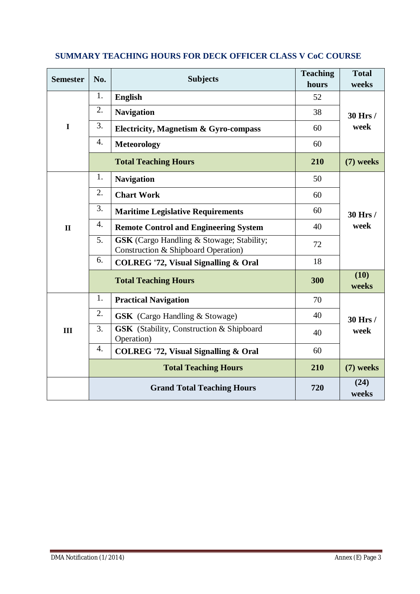| <b>Semester</b> | No. | <b>Subjects</b>                                                                         | <b>Teaching</b><br>hours | <b>Total</b><br>weeks |
|-----------------|-----|-----------------------------------------------------------------------------------------|--------------------------|-----------------------|
|                 | 1.  | <b>English</b>                                                                          | 52                       |                       |
|                 | 2.  | <b>Navigation</b>                                                                       | 38                       | 30 Hrs /              |
| $\mathbf I$     | 3.  | <b>Electricity, Magnetism &amp; Gyro-compass</b>                                        | 60                       | week                  |
|                 | 4.  | <b>Meteorology</b>                                                                      | 60                       |                       |
|                 |     | <b>Total Teaching Hours</b>                                                             | 210                      | (7) weeks             |
|                 | 1.  | <b>Navigation</b>                                                                       | 50                       |                       |
|                 | 2.  | <b>Chart Work</b>                                                                       | 60                       |                       |
|                 | 3.  | <b>Maritime Legislative Requirements</b>                                                | 60                       | 30 Hrs /              |
| $\mathbf{I}$    | 4.  | <b>Remote Control and Engineering System</b>                                            | 40                       | week                  |
|                 | 5.  | <b>GSK</b> (Cargo Handling & Stowage; Stability;<br>Construction & Shipboard Operation) | 72                       |                       |
|                 | 6.  | <b>COLREG '72, Visual Signalling &amp; Oral</b>                                         | 18                       |                       |
|                 |     | <b>Total Teaching Hours</b>                                                             | 300                      | (10)<br>weeks         |
|                 | 1.  | <b>Practical Navigation</b>                                                             | 70                       |                       |
|                 | 2.  | <b>GSK</b> (Cargo Handling & Stowage)                                                   | 40                       | 30 Hrs /              |
| III             | 3.  | <b>GSK</b> (Stability, Construction & Shipboard<br>Operation)                           | 40                       | week                  |
|                 | 4.  | <b>COLREG '72, Visual Signalling &amp; Oral</b>                                         | 60                       |                       |
|                 |     | <b>Total Teaching Hours</b>                                                             | 210                      | (7) weeks             |
|                 |     | <b>Grand Total Teaching Hours</b>                                                       | 720                      | (24)<br>weeks         |

# **SUMMARY TEACHING HOURS FOR DECK OFFICER CLASS V CoC COURSE**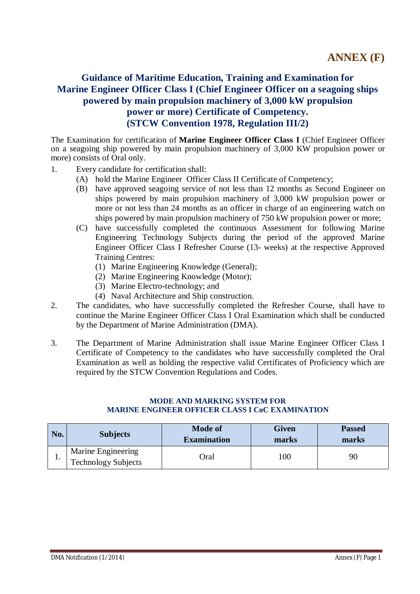# **Guidance of Maritime Education, Training and Examination for Marine Engineer Officer Class I (Chief Engineer Officer on a seagoing ships powered by main propulsion machinery of 3,000 kW propulsion power or more) Certificate of Competency. (STCW Convention 1978, Regulation III/2)**

The Examination for certification of **Marine Engineer Officer Class I** (Chief Engineer Officer on a seagoing ship powered by main propulsion machinery of 3,000 KW propulsion power or more) consists of Oral only.

- 1. Every candidate for certification shall:
	- (A) hold the Marine Engineer Officer Class II Certificate of Competency;
	- (B) have approved seagoing service of not less than 12 months as Second Engineer on ships powered by main propulsion machinery of 3,000 kW propulsion power or more or not less than 24 months as an officer in charge of an engineering watch on ships powered by main propulsion machinery of 750 kW propulsion power or more;
	- (C) have successfully completed the continuous Assessment for following Marine Engineering Technology Subjects during the period of the approved Marine Engineer Officer Class I Refresher Course (13- weeks) at the respective Approved Training Centres:
		- (1) Marine Engineering Knowledge (General);
		- (2) Marine Engineering Knowledge (Motor);
		- (3) Marine Electro-technology; and
		- (4) Naval Architecture and Ship construction.
- 2. The candidates, who have successfully completed the Refresher Course, shall have to continue the Marine Engineer Officer Class I Oral Examination which shall be conducted by the Department of Marine Administration (DMA).
- 3. The Department of Marine Administration shall issue Marine Engineer Officer Class I Certificate of Competency to the candidates who have successfully completed the Oral Examination as well as holding the respective valid Certificates of Proficiency which are required by the STCW Convention Regulations and Codes.

| No. | <b>Subjects</b>                                  | <b>Mode of</b><br><b>Examination</b> | Given<br>marks | <b>Passed</b><br>marks |
|-----|--------------------------------------------------|--------------------------------------|----------------|------------------------|
| . . | Marine Engineering<br><b>Technology Subjects</b> | Oral                                 | 100            | 90                     |

#### **MODE AND MARKING SYSTEM FOR MARINE ENGINEER OFFICER CLASS I CoC EXAMINATION**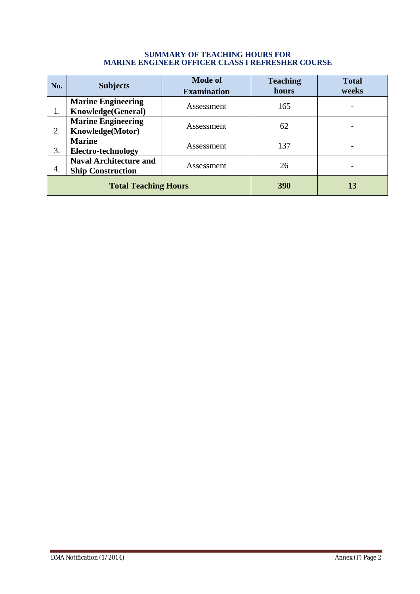#### **SUMMARY OF TEACHING HOURS FOR MARINE ENGINEER OFFICER CLASS I REFRESHER COURSE**

| No.                                                                           | <b>Subjects</b>                                 | <b>Mode of</b><br><b>Examination</b> | <b>Teaching</b><br>hours | <b>Total</b><br>weeks |
|-------------------------------------------------------------------------------|-------------------------------------------------|--------------------------------------|--------------------------|-----------------------|
| 1.                                                                            | <b>Marine Engineering</b><br>Knowledge(General) | Assessment                           | 165                      |                       |
| 2.                                                                            | <b>Marine Engineering</b><br>Knowledge(Motor)   | Assessment                           | 62                       |                       |
| 3.                                                                            | <b>Marine</b><br>Electro-technology             | Assessment                           | 137                      |                       |
| <b>Naval Architecture and</b><br>Assessment<br>4.<br><b>Ship Construction</b> |                                                 | 26                                   |                          |                       |
| <b>Total Teaching Hours</b>                                                   |                                                 |                                      | <b>390</b>               | 13                    |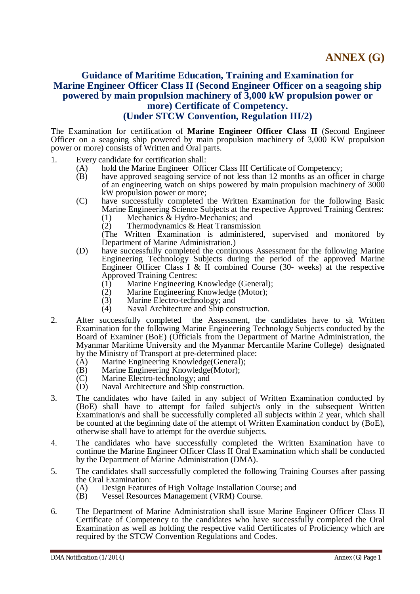### **Guidance of Maritime Education, Training and Examination for Marine Engineer Officer Class II (Second Engineer Officer on a seagoing ship powered by main propulsion machinery of 3,000 kW propulsion power or more) Certificate of Competency. (Under STCW Convention, Regulation III/2)**

The Examination for certification of **Marine Engineer Officer Class II** (Second Engineer Officer on a seagoing ship powered by main propulsion machinery of 3,000 KW propulsion power or more) consists of Written and Oral parts.

- 1. Every candidate for certification shall:
	- (A) hold the Marine Engineer Officer Class III Certificate of Competency;
		- (B) have approved seagoing service of not less than 12 months as an officer in charge of an engineering watch on ships powered by main propulsion machinery of 3000 kW propulsion power or more;
		- (C) have successfully completed the Written Examination for the following Basic Marine Engineering Science Subjects at the respective Approved Training Centres:
			- (1) Mechanics & Hydro-Mechanics; and
			- (2) Thermodynamics & Heat Transmission

- (D) have successfully completed the continuous Assessment for the following Marine Engineering Technology Subjects during the period of the approved Marine Engineer Officer Class I & II combined Course (30- weeks) at the respective Approved Training Centres:
	- (1) Marine Engineering Knowledge (General);<br>(2) Marine Engineering Knowledge (Motor):
	- (2) Marine Engineering Knowledge (Motor);<br>(3) Marine Electro-technology; and
	- Marine Electro-technology; and
	- (4) Naval Architecture and Ship construction.
- 2. After successfully completed the Assessment, the candidates have to sit Written Examination for the following Marine Engineering Technology Subjects conducted by the Board of Examiner (BoE) (Officials from the Department of Marine Administration, the Myanmar Maritime University and the Myanmar Mercantile Marine College) designated by the Ministry of Transport at pre-determined place:
	- (A) Marine Engineering Knowledge(General);
	- (B) Marine Engineering Knowledge(Motor);
	- (C) Marine Electro-technology; and<br>
	(D) Naval Architecture and Ship con
	- Naval Architecture and Ship construction.
- 3. The candidates who have failed in any subject of Written Examination conducted by (BoE) shall have to attempt for failed subject/s only in the subsequent Written Examination/s and shall be successfully completed all subjects within 2 year, which shall be counted at the beginning date of the attempt of Written Examination conduct by (BoE), otherwise shall have to attempt for the overdue subjects.
- 4. The candidates who have successfully completed the Written Examination have to continue the Marine Engineer Officer Class II Oral Examination which shall be conducted by the Department of Marine Administration (DMA).
- 5. The candidates shall successfully completed the following Training Courses after passing the Oral Examination:<br>(A) Design Feature
	- Design Features of High Voltage Installation Course; and
	- (B) Vessel Resources Management (VRM) Course.
- 6. The Department of Marine Administration shall issue Marine Engineer Officer Class II Certificate of Competency to the candidates who have successfully completed the Oral Examination as well as holding the respective valid Certificates of Proficiency which are required by the STCW Convention Regulations and Codes.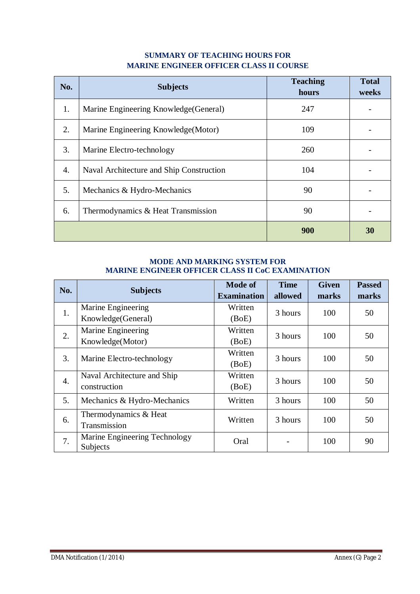### **SUMMARY OF TEACHING HOURS FOR MARINE ENGINEER OFFICER CLASS II COURSE**

| No.              | <b>Subjects</b>                          | <b>Teaching</b><br>hours | <b>Total</b><br>weeks |
|------------------|------------------------------------------|--------------------------|-----------------------|
| 1.               | Marine Engineering Knowledge (General)   | 247                      |                       |
| 2.               | Marine Engineering Knowledge (Motor)     | 109                      |                       |
| 3.               | Marine Electro-technology                | 260                      |                       |
| $\overline{4}$ . | Naval Architecture and Ship Construction | 104                      |                       |
| 5.               | Mechanics & Hydro-Mechanics              | 90                       |                       |
| 6.               | Thermodynamics & Heat Transmission       | 90                       |                       |
|                  |                                          | 900                      | 30                    |

### **MODE AND MARKING SYSTEM FOR MARINE ENGINEER OFFICER CLASS II CoC EXAMINATION**

| No. | <b>Subjects</b>               | <b>Mode of</b>     | <b>Time</b> | <b>Given</b> | <b>Passed</b> |
|-----|-------------------------------|--------------------|-------------|--------------|---------------|
|     |                               | <b>Examination</b> | allowed     | marks        | marks         |
| 1.  | Marine Engineering            | Written            | 3 hours     | 100          | 50            |
|     | Knowledge(General)            | (BoE)              |             |              |               |
| 2.  | Marine Engineering            | Written            | 3 hours     | 100          |               |
|     | Knowledge(Motor)              | (BoE)              |             |              | 50            |
| 3.  | Marine Electro-technology     | Written            | 3 hours     | 100          | 50            |
|     |                               | (BoE)              |             |              |               |
| 4.  | Naval Architecture and Ship   | Written            | 3 hours     | 100          | 50            |
|     | construction                  | (BoE)              |             |              |               |
| 5.  | Mechanics & Hydro-Mechanics   | Written            | 3 hours     | 100          | 50            |
| 6.  | Thermodynamics & Heat         | Written            | 3 hours     | 100          | 50            |
|     | Transmission                  |                    |             |              |               |
| 7.  | Marine Engineering Technology | Oral               |             | 100          | 90            |
|     | Subjects                      |                    |             |              |               |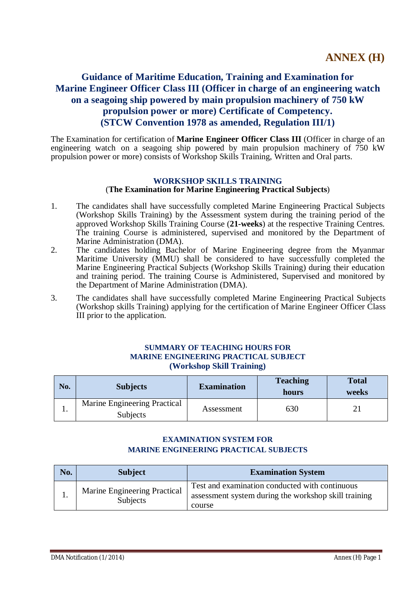# **Guidance of Maritime Education, Training and Examination for Marine Engineer Officer Class III (Officer in charge of an engineering watch on a seagoing ship powered by main propulsion machinery of 750 kW propulsion power or more) Certificate of Competency. (STCW Convention 1978 as amended, Regulation III/1)**

The Examination for certification of **Marine Engineer Officer Class III** (Officer in charge of an engineering watch on a seagoing ship powered by main propulsion machinery of 750 kW propulsion power or more) consists of Workshop Skills Training, Written and Oral parts.

#### **WORKSHOP SKILLS TRAINING** (**The Examination for Marine Engineering Practical Subjects**)

- 1. The candidates shall have successfully completed Marine Engineering Practical Subjects (Workshop Skills Training) by the Assessment system during the training period of the approved Workshop Skills Training Course (**21-weeks**) at the respective Training Centres. The training Course is administered, supervised and monitored by the Department of Marine Administration (DMA).
- 2. The candidates holding Bachelor of Marine Engineering degree from the Myanmar Maritime University (MMU) shall be considered to have successfully completed the Marine Engineering Practical Subjects (Workshop Skills Training) during their education and training period. The training Course is Administered, Supervised and monitored by the Department of Marine Administration (DMA).
- 3. The candidates shall have successfully completed Marine Engineering Practical Subjects (Workshop skills Training) applying for the certification of Marine Engineer Officer Class III prior to the application.

#### **SUMMARY OF TEACHING HOURS FOR MARINE ENGINEERING PRACTICAL SUBJECT (Workshop Skill Training)**

| No. | <b>Subjects</b>                          | <b>Examination</b> | <b>Teaching</b><br>hours | <b>Total</b><br>weeks |
|-----|------------------------------------------|--------------------|--------------------------|-----------------------|
|     | Marine Engineering Practical<br>Subjects | Assessment         | 630                      |                       |

### **EXAMINATION SYSTEM FOR MARINE ENGINEERING PRACTICAL SUBJECTS**

| No. | <b>Subject</b>                           | <b>Examination System</b>                                                                                        |
|-----|------------------------------------------|------------------------------------------------------------------------------------------------------------------|
|     | Marine Engineering Practical<br>Subjects | Test and examination conducted with continuous<br>assessment system during the workshop skill training<br>course |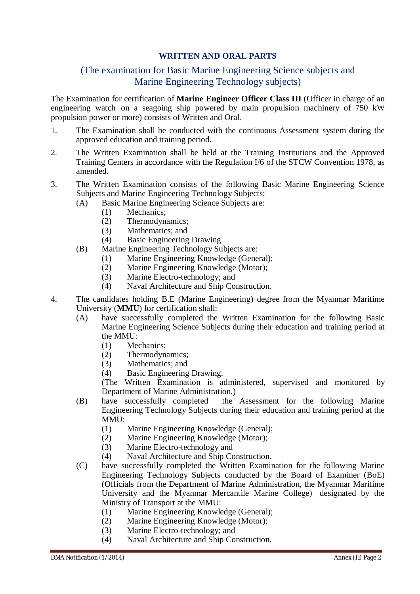### **WRITTEN AND ORAL PARTS**

# (The examination for Basic Marine Engineering Science subjects and Marine Engineering Technology subjects)

The Examination for certification of **Marine Engineer Officer Class III** (Officer in charge of an engineering watch on a seagoing ship powered by main propulsion machinery of 750 kW propulsion power or more) consists of Written and Oral.

- 1. The Examination shall be conducted with the continuous Assessment system during the approved education and training period.
- 2. The Written Examination shall be held at the Training Institutions and the Approved Training Centers in accordance with the Regulation I/6 of the STCW Convention 1978, as amended.
- 3. The Written Examination consists of the following Basic Marine Engineering Science Subjects and Marine Engineering Technology Subjects:
	- (A) Basic Marine Engineering Science Subjects are:
		- (1) Mechanics;
		- (2) Thermodynamics;
		- (3) Mathematics; and
		- (4) Basic Engineering Drawing.
	- (B) Marine Engineering Technology Subjects are:
		- (1) Marine Engineering Knowledge (General);
		- (2) Marine Engineering Knowledge (Motor);
		- (3) Marine Electro-technology; and
		- (4) Naval Architecture and Ship Construction.
- 4. The candidates holding B.E (Marine Engineering) degree from the Myanmar Maritime University (**MMU**) for certification shall:
	- (A) have successfully completed the Written Examination for the following Basic Marine Engineering Science Subjects during their education and training period at the MMU:
		- (1) Mechanics;
		- (2) Thermodynamics;
		- (3) Mathematics; and
		- (4) Basic Engineering Drawing.

- (B) have successfully completed the Assessment for the following Marine Engineering Technology Subjects during their education and training period at the MMU:
	- (1) Marine Engineering Knowledge (General);
	- (2) Marine Engineering Knowledge (Motor);
	- (3) Marine Electro-technology and
	- (4) Naval Architecture and Ship Construction.
- (C) have successfully completed the Written Examination for the following Marine Engineering Technology Subjects conducted by the Board of Examiner (BoE) (Officials from the Department of Marine Administration, the Myanmar Maritime University and the Myanmar Mercantile Marine College) designated by the Ministry of Transport at the MMU:
	- (1) Marine Engineering Knowledge (General);
	- (2) Marine Engineering Knowledge (Motor);
	- (3) Marine Electro-technology; and
	- (4) Naval Architecture and Ship Construction.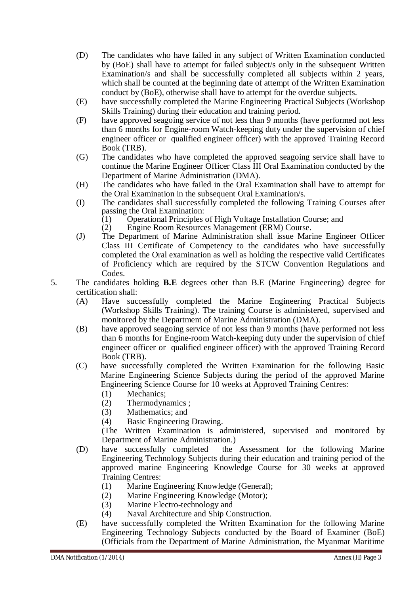- (D) The candidates who have failed in any subject of Written Examination conducted by (BoE) shall have to attempt for failed subject/s only in the subsequent Written Examination/s and shall be successfully completed all subjects within 2 years, which shall be counted at the beginning date of attempt of the Written Examination conduct by (BoE), otherwise shall have to attempt for the overdue subjects.
- (E) have successfully completed the Marine Engineering Practical Subjects (Workshop Skills Training) during their education and training period.
- (F) have approved seagoing service of not less than 9 months (have performed not less than 6 months for Engine-room Watch-keeping duty under the supervision of chief engineer officer or qualified engineer officer) with the approved Training Record Book (TRB).
- (G) The candidates who have completed the approved seagoing service shall have to continue the Marine Engineer Officer Class III Oral Examination conducted by the Department of Marine Administration (DMA).
- (H) The candidates who have failed in the Oral Examination shall have to attempt for the Oral Examination in the subsequent Oral Examination/s.
- (I) The candidates shall successfully completed the following Training Courses after passing the Oral Examination:
	- (1) Operational Principles of High Voltage Installation Course; and
	- (2) Engine Room Resources Management (ERM) Course.
- (J) The Department of Marine Administration shall issue Marine Engineer Officer Class III Certificate of Competency to the candidates who have successfully completed the Oral examination as well as holding the respective valid Certificates of Proficiency which are required by the STCW Convention Regulations and Codes.
- 5. The candidates holding **B.E** degrees other than B.E (Marine Engineering) degree for certification shall:
	- (A) Have successfully completed the Marine Engineering Practical Subjects (Workshop Skills Training). The training Course is administered, supervised and monitored by the Department of Marine Administration (DMA).
	- (B) have approved seagoing service of not less than 9 months (have performed not less than 6 months for Engine-room Watch-keeping duty under the supervision of chief engineer officer or qualified engineer officer) with the approved Training Record Book (TRB).
	- (C) have successfully completed the Written Examination for the following Basic Marine Engineering Science Subjects during the period of the approved Marine Engineering Science Course for 10 weeks at Approved Training Centres:
		- (1) Mechanics;
		- (2) Thermodynamics ;
		- (3) Mathematics; and
		- (4) Basic Engineering Drawing.

- (D) have successfully completed the Assessment for the following Marine Engineering Technology Subjects during their education and training period of the approved marine Engineering Knowledge Course for 30 weeks at approved Training Centres:
	- (1) Marine Engineering Knowledge (General);
	- (2) Marine Engineering Knowledge (Motor);
	- (3) Marine Electro-technology and
	- (4) Naval Architecture and Ship Construction.
- (E) have successfully completed the Written Examination for the following Marine Engineering Technology Subjects conducted by the Board of Examiner (BoE) (Officials from the Department of Marine Administration, the Myanmar Maritime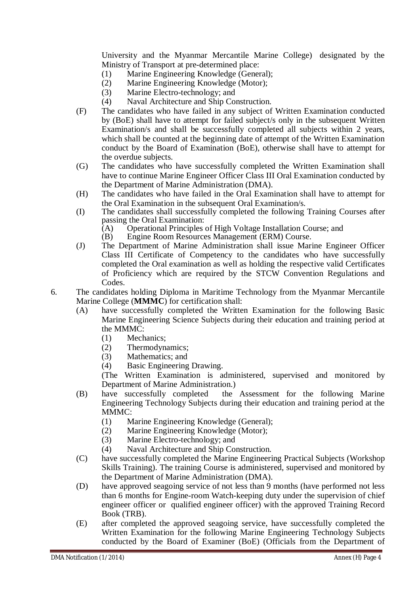University and the Myanmar Mercantile Marine College) designated by the Ministry of Transport at pre-determined place:

- (1) Marine Engineering Knowledge (General);
- (2) Marine Engineering Knowledge (Motor);
- (3) Marine Electro-technology; and
- (4) Naval Architecture and Ship Construction.
- (F) The candidates who have failed in any subject of Written Examination conducted by (BoE) shall have to attempt for failed subject/s only in the subsequent Written Examination/s and shall be successfully completed all subjects within 2 years, which shall be counted at the beginning date of attempt of the Written Examination conduct by the Board of Examination (BoE), otherwise shall have to attempt for the overdue subjects.
- (G) The candidates who have successfully completed the Written Examination shall have to continue Marine Engineer Officer Class III Oral Examination conducted by the Department of Marine Administration (DMA).
- (H) The candidates who have failed in the Oral Examination shall have to attempt for the Oral Examination in the subsequent Oral Examination/s.
- (I) The candidates shall successfully completed the following Training Courses after passing the Oral Examination:<br>(A) Operational Principles
	- (A) Operational Principles of High Voltage Installation Course; and (B) Engine Room Resources Management (ERM) Course.
	- Engine Room Resources Management (ERM) Course.
- (J) The Department of Marine Administration shall issue Marine Engineer Officer Class III Certificate of Competency to the candidates who have successfully completed the Oral examination as well as holding the respective valid Certificates of Proficiency which are required by the STCW Convention Regulations and Codes.
- 6. The candidates holding Diploma in Maritime Technology from the Myanmar Mercantile Marine College (**MMMC**) for certification shall:
	- (A) have successfully completed the Written Examination for the following Basic Marine Engineering Science Subjects during their education and training period at the MMMC:
		- (1) Mechanics;
		- (2) Thermodynamics;
		- (3) Mathematics; and
		- (4) Basic Engineering Drawing.

- (B) have successfully completed the Assessment for the following Marine Engineering Technology Subjects during their education and training period at the MMMC:
	- (1) Marine Engineering Knowledge (General);
	- (2) Marine Engineering Knowledge (Motor);
	- (3) Marine Electro-technology; and
	- (4) Naval Architecture and Ship Construction.
- (C) have successfully completed the Marine Engineering Practical Subjects (Workshop Skills Training). The training Course is administered, supervised and monitored by the Department of Marine Administration (DMA).
- (D) have approved seagoing service of not less than 9 months (have performed not less than 6 months for Engine-room Watch-keeping duty under the supervision of chief engineer officer or qualified engineer officer) with the approved Training Record Book (TRB).
- (E) after completed the approved seagoing service, have successfully completed the Written Examination for the following Marine Engineering Technology Subjects conducted by the Board of Examiner (BoE) (Officials from the Department of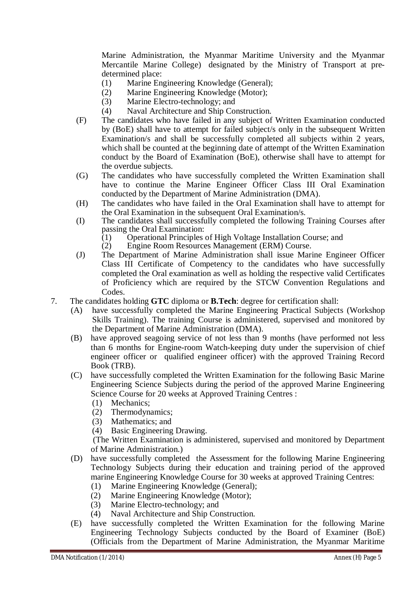Marine Administration, the Myanmar Maritime University and the Myanmar Mercantile Marine College) designated by the Ministry of Transport at predetermined place:

- (1) Marine Engineering Knowledge (General);
- (2) Marine Engineering Knowledge (Motor);
- (3) Marine Electro-technology; and
- (4) Naval Architecture and Ship Construction.
- (F) The candidates who have failed in any subject of Written Examination conducted by (BoE) shall have to attempt for failed subject/s only in the subsequent Written Examination/s and shall be successfully completed all subjects within 2 years, which shall be counted at the beginning date of attempt of the Written Examination conduct by the Board of Examination (BoE), otherwise shall have to attempt for the overdue subjects.
- (G) The candidates who have successfully completed the Written Examination shall have to continue the Marine Engineer Officer Class III Oral Examination conducted by the Department of Marine Administration (DMA).
- (H) The candidates who have failed in the Oral Examination shall have to attempt for the Oral Examination in the subsequent Oral Examination/s.
- (I) The candidates shall successfully completed the following Training Courses after passing the Oral Examination:
	- (1) Operational Principles of High Voltage Installation Course; and  $(2)$  Engine Room Resources Management (ERM) Course.
	- Engine Room Resources Management (ERM) Course.
- (J) The Department of Marine Administration shall issue Marine Engineer Officer Class III Certificate of Competency to the candidates who have successfully completed the Oral examination as well as holding the respective valid Certificates of Proficiency which are required by the STCW Convention Regulations and Codes.
- 7. The candidates holding **GTC** diploma or **B.Tech**: degree for certification shall:
	- (A) have successfully completed the Marine Engineering Practical Subjects (Workshop Skills Training). The training Course is administered, supervised and monitored by the Department of Marine Administration (DMA).
	- (B) have approved seagoing service of not less than 9 months (have performed not less than 6 months for Engine-room Watch-keeping duty under the supervision of chief engineer officer or qualified engineer officer) with the approved Training Record Book (TRB).
	- (C) have successfully completed the Written Examination for the following Basic Marine Engineering Science Subjects during the period of the approved Marine Engineering Science Course for 20 weeks at Approved Training Centres :
		- (1) Mechanics;
		- (2) Thermodynamics;
		- (3) Mathematics; and
		- (4) Basic Engineering Drawing.

- (D) have successfully completed the Assessment for the following Marine Engineering Technology Subjects during their education and training period of the approved marine Engineering Knowledge Course for 30 weeks at approved Training Centres:
	- (1) Marine Engineering Knowledge (General);
	- (2) Marine Engineering Knowledge (Motor);
	- (3) Marine Electro-technology; and
	- (4) Naval Architecture and Ship Construction.
- (E) have successfully completed the Written Examination for the following Marine Engineering Technology Subjects conducted by the Board of Examiner (BoE) (Officials from the Department of Marine Administration, the Myanmar Maritime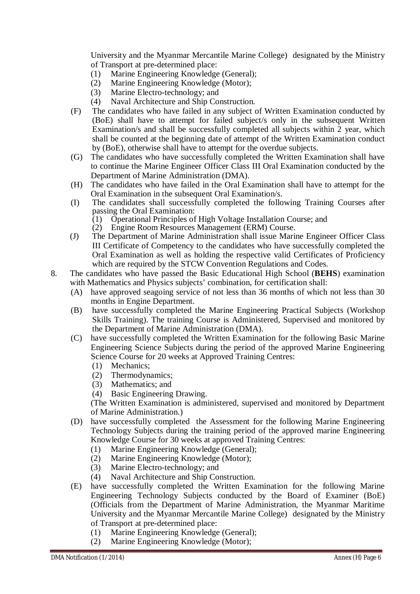University and the Myanmar Mercantile Marine College) designated by the Ministry of Transport at pre-determined place:

- (1) Marine Engineering Knowledge (General);
- (2) Marine Engineering Knowledge (Motor);
- (3) Marine Electro-technology; and
- (4) Naval Architecture and Ship Construction.
- (F) The candidates who have failed in any subject of Written Examination conducted by (BoE) shall have to attempt for failed subject/s only in the subsequent Written Examination/s and shall be successfully completed all subjects within 2 year, which shall be counted at the beginning date of attempt of the Written Examination conduct by (BoE), otherwise shall have to attempt for the overdue subjects.
- (G) The candidates who have successfully completed the Written Examination shall have to continue the Marine Engineer Officer Class III Oral Examination conducted by the Department of Marine Administration (DMA).
- (H) The candidates who have failed in the Oral Examination shall have to attempt for the Oral Examination in the subsequent Oral Examination/s.
- (I) The candidates shall successfully completed the following Training Courses after passing the Oral Examination:
	- (1) Operational Principles of High Voltage Installation Course; and
	- (2) Engine Room Resources Management (ERM) Course.
- (J) The Department of Marine Administration shall issue Marine Engineer Officer Class III Certificate of Competency to the candidates who have successfully completed the Oral Examination as well as holding the respective valid Certificates of Proficiency which are required by the STCW Convention Regulations and Codes.
- 8. The candidates who have passed the Basic Educational High School (**BEHS**) examination with Mathematics and Physics subjects' combination, for certification shall:
	- (A) have approved seagoing service of not less than 36 months of which not less than 30 months in Engine Department.
	- (B) have successfully completed the Marine Engineering Practical Subjects (Workshop Skills Training). The training Course is Administered, Supervised and monitored by the Department of Marine Administration (DMA).
	- (C) have successfully completed the Written Examination for the following Basic Marine Engineering Science Subjects during the period of the approved Marine Engineering Science Course for 20 weeks at Approved Training Centres:
		- (1) Mechanics;
		- (2) Thermodynamics;
		- (3) Mathematics; and
		- (4) Basic Engineering Drawing.

- (D) have successfully completed the Assessment for the following Marine Engineering Technology Subjects during the training period of the approved marine Engineering Knowledge Course for 30 weeks at approved Training Centres:
	- (1) Marine Engineering Knowledge (General);
	- (2) Marine Engineering Knowledge (Motor);
	- (3) Marine Electro-technology; and
	- (4) Naval Architecture and Ship Construction.
- (E) have successfully completed the Written Examination for the following Marine Engineering Technology Subjects conducted by the Board of Examiner (BoE) (Officials from the Department of Marine Administration, the Myanmar Maritime University and the Myanmar Mercantile Marine College) designated by the Ministry of Transport at pre-determined place:
	- (1) Marine Engineering Knowledge (General);
	- (2) Marine Engineering Knowledge (Motor);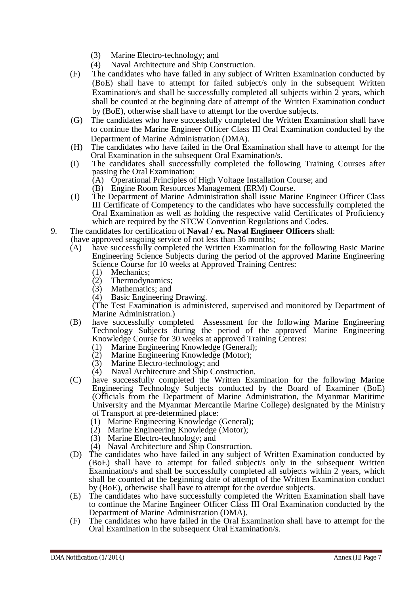- (3) Marine Electro-technology; and
- (4) Naval Architecture and Ship Construction.
- (F) The candidates who have failed in any subject of Written Examination conducted by (BoE) shall have to attempt for failed subject/s only in the subsequent Written Examination/s and shall be successfully completed all subjects within 2 years, which shall be counted at the beginning date of attempt of the Written Examination conduct by (BoE), otherwise shall have to attempt for the overdue subjects.
- (G) The candidates who have successfully completed the Written Examination shall have to continue the Marine Engineer Officer Class III Oral Examination conducted by the Department of Marine Administration (DMA).
- (H) The candidates who have failed in the Oral Examination shall have to attempt for the Oral Examination in the subsequent Oral Examination/s.
- (I) The candidates shall successfully completed the following Training Courses after passing the Oral Examination:
	- (A) Operational Principles of High Voltage Installation Course; and
	- (B) Engine Room Resources Management (ERM) Course.
- (J) The Department of Marine Administration shall issue Marine Engineer Officer Class III Certificate of Competency to the candidates who have successfully completed the Oral Examination as well as holding the respective valid Certificates of Proficiency which are required by the STCW Convention Regulations and Codes.
- 9. The candidates for certification of **Naval / ex. Naval Engineer Officers** shall: (have approved seagoing service of not less than 36 months;
	- (A) have successfully completed the Written Examination for the following Basic Marine Engineering Science Subjects during the period of the approved Marine Engineering Science Course for 10 weeks at Approved Training Centres:
		- (1) Mechanics;
		- (2) Thermodynamics;<br>(3) Mathematics; and
		- Mathematics; and
		- (4) Basic Engineering Drawing.

- (B) have successfully completed Assessment for the following Marine Engineering Technology Subjects during the period of the approved Marine Engineering Knowledge Course for 30 weeks at approved Training Centres:
	- (1) Marine Engineering Knowledge (General);<br>(2) Marine Engineering Knowledge (Motor);
	- Marine Engineering Knowledge (Motor);
	- (3) Marine Electro-technology; and
	- (4) Naval Architecture and Ship Construction.
- (C) have successfully completed the Written Examination for the following Marine Engineering Technology Subjects conducted by the Board of Examiner (BoE) (Officials from the Department of Marine Administration, the Myanmar Maritime University and the Myanmar Mercantile Marine College) designated by the Ministry of Transport at pre-determined place:
	- (1) Marine Engineering Knowledge (General);
	- (2) Marine Engineering Knowledge (Motor);
	- (3) Marine Electro-technology; and
	- (4) Naval Architecture and Ship Construction.
- (D) The candidates who have failed in any subject of Written Examination conducted by (BoE) shall have to attempt for failed subject/s only in the subsequent Written Examination/s and shall be successfully completed all subjects within 2 years, which shall be counted at the beginning date of attempt of the Written Examination conduct by (BoE), otherwise shall have to attempt for the overdue subjects.
- (E) The candidates who have successfully completed the Written Examination shall have to continue the Marine Engineer Officer Class III Oral Examination conducted by the Department of Marine Administration (DMA).
- (F) The candidates who have failed in the Oral Examination shall have to attempt for the Oral Examination in the subsequent Oral Examination/s.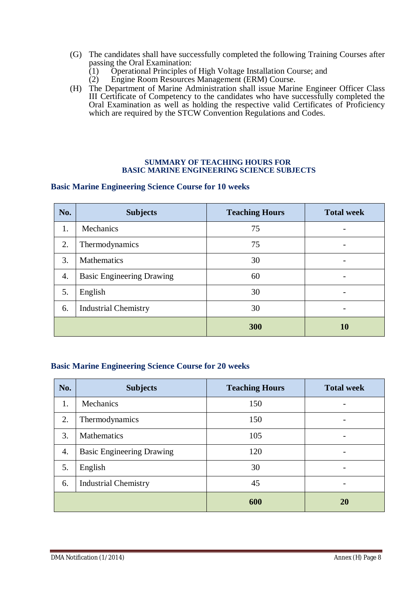- (G) The candidates shall have successfully completed the following Training Courses after passing the Oral Examination:
	- (1) Operational Principles of High Voltage Installation Course; and
	- (2) Engine Room Resources Management (ERM) Course.
- (H) The Department of Marine Administration shall issue Marine Engineer Officer Class III Certificate of Competency to the candidates who have successfully completed the Oral Examination as well as holding the respective valid Certificates of Proficiency which are required by the STCW Convention Regulations and Codes.

#### **SUMMARY OF TEACHING HOURS FOR BASIC MARINE ENGINEERING SCIENCE SUBJECTS**

#### **Basic Marine Engineering Science Course for 10 weeks**

| No. | <b>Subjects</b>                  | <b>Teaching Hours</b> | <b>Total week</b> |
|-----|----------------------------------|-----------------------|-------------------|
| 1.  | Mechanics                        | 75                    |                   |
| 2.  | Thermodynamics                   | 75                    |                   |
| 3.  | <b>Mathematics</b>               | 30                    |                   |
| 4.  | <b>Basic Engineering Drawing</b> | 60                    |                   |
| 5.  | English                          | 30                    |                   |
| 6.  | <b>Industrial Chemistry</b>      | 30                    |                   |
|     |                                  | 300                   | 10                |

#### **Basic Marine Engineering Science Course for 20 weeks**

| No.                | <b>Subjects</b>                  | <b>Teaching Hours</b> | <b>Total week</b> |
|--------------------|----------------------------------|-----------------------|-------------------|
| 1.                 | Mechanics                        | 150                   |                   |
| 2.                 | Thermodynamics                   | 150                   |                   |
| 3.                 | Mathematics                      | 105                   |                   |
| $\boldsymbol{4}$ . | <b>Basic Engineering Drawing</b> | 120                   |                   |
| 5.                 | English                          | 30                    |                   |
| 6.                 | <b>Industrial Chemistry</b>      | 45                    |                   |
|                    |                                  | 600                   | <b>20</b>         |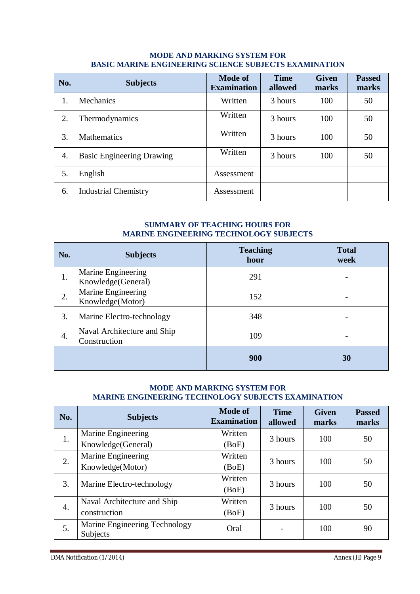#### **MODE AND MARKING SYSTEM FOR BASIC MARINE ENGINEERING SCIENCE SUBJECTS EXAMINATION**

| No. | <b>Subjects</b>                  | <b>Mode of</b><br><b>Examination</b> | <b>Time</b><br>allowed | <b>Given</b><br>marks | <b>Passed</b><br>marks |
|-----|----------------------------------|--------------------------------------|------------------------|-----------------------|------------------------|
| 1.  | Mechanics                        | Written                              | 3 hours                | 100                   | 50                     |
| 2.  | Thermodynamics                   | Written                              | 3 hours                | 100                   | 50                     |
| 3.  | <b>Mathematics</b>               | Written                              | 3 hours                | 100                   | 50                     |
| 4.  | <b>Basic Engineering Drawing</b> | Written                              | 3 hours                | 100                   | 50                     |
| 5.  | English                          | Assessment                           |                        |                       |                        |
| 6.  | <b>Industrial Chemistry</b>      | Assessment                           |                        |                       |                        |

### **SUMMARY OF TEACHING HOURS FOR MARINE ENGINEERING TECHNOLOGY SUBJECTS**

| No. | <b>Subjects</b>                             | <b>Teaching</b><br>hour | <b>Total</b><br>week |
|-----|---------------------------------------------|-------------------------|----------------------|
| 1.  | Marine Engineering<br>Knowledge(General)    | 291                     |                      |
| 2.  | Marine Engineering<br>Knowledge(Motor)      | 152                     |                      |
| 3.  | Marine Electro-technology                   | 348                     |                      |
| 4.  | Naval Architecture and Ship<br>Construction | 109                     |                      |
|     |                                             | 900                     | 30                   |

### **MODE AND MARKING SYSTEM FOR MARINE ENGINEERING TECHNOLOGY SUBJECTS EXAMINATION**

| No. | <b>Subjects</b>                           | <b>Mode of</b><br><b>Examination</b> | <b>Time</b><br>allowed | <b>Given</b><br>marks | <b>Passed</b><br>marks |
|-----|-------------------------------------------|--------------------------------------|------------------------|-----------------------|------------------------|
| 1.  | Marine Engineering                        | Written                              | 3 hours                | 100                   | 50                     |
|     | Knowledge(General)                        | (BoE)                                |                        |                       |                        |
|     | Marine Engineering                        | Written                              | 3 hours                | 100                   | 50                     |
| 2.  | Knowledge(Motor)                          | (BoE)                                |                        |                       |                        |
| 3.  | Marine Electro-technology                 | Written                              | 3 hours                | 100                   | 50                     |
|     |                                           | (BoE)                                |                        |                       |                        |
| 4.  | Naval Architecture and Ship               | Written                              | 3 hours                |                       |                        |
|     | construction                              | (BoE)                                |                        | 100                   | 50                     |
| 5.  | Marine Engineering Technology<br>Subjects | Oral                                 |                        | 100                   | 90                     |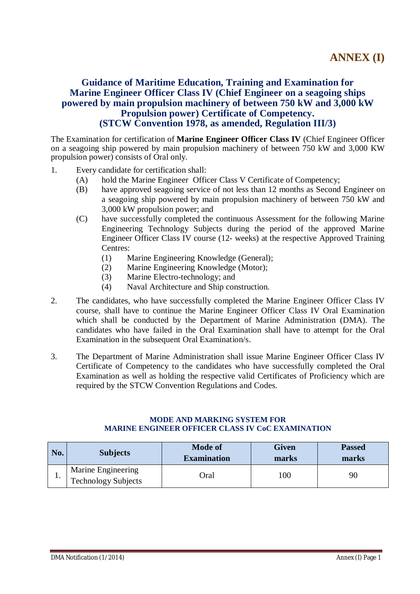# **Guidance of Maritime Education, Training and Examination for Marine Engineer Officer Class IV (Chief Engineer on a seagoing ships powered by main propulsion machinery of between 750 kW and 3,000 kW Propulsion power) Certificate of Competency. (STCW Convention 1978, as amended, Regulation III/3)**

The Examination for certification of **Marine Engineer Officer Class IV** (Chief Engineer Officer on a seagoing ship powered by main propulsion machinery of between 750 kW and 3,000 KW propulsion power) consists of Oral only.

- 1. Every candidate for certification shall:
	- (A) hold the Marine Engineer Officer Class V Certificate of Competency;
	- (B) have approved seagoing service of not less than 12 months as Second Engineer on a seagoing ship powered by main propulsion machinery of between 750 kW and 3,000 kW propulsion power; and
	- (C) have successfully completed the continuous Assessment for the following Marine Engineering Technology Subjects during the period of the approved Marine Engineer Officer Class IV course (12- weeks) at the respective Approved Training Centres:
		- (1) Marine Engineering Knowledge (General);
		- (2) Marine Engineering Knowledge (Motor);
		- (3) Marine Electro-technology; and
		- (4) Naval Architecture and Ship construction.
- 2. The candidates, who have successfully completed the Marine Engineer Officer Class IV course, shall have to continue the Marine Engineer Officer Class IV Oral Examination which shall be conducted by the Department of Marine Administration (DMA). The candidates who have failed in the Oral Examination shall have to attempt for the Oral Examination in the subsequent Oral Examination/s.
- 3. The Department of Marine Administration shall issue Marine Engineer Officer Class IV Certificate of Competency to the candidates who have successfully completed the Oral Examination as well as holding the respective valid Certificates of Proficiency which are required by the STCW Convention Regulations and Codes.

#### **MODE AND MARKING SYSTEM FOR MARINE ENGINEER OFFICER CLASS IV CoC EXAMINATION**

| No. | <b>Subjects</b>                                  | <b>Mode of</b><br><b>Examination</b> | Given<br>marks | <b>Passed</b><br>marks |
|-----|--------------------------------------------------|--------------------------------------|----------------|------------------------|
| ı.  | Marine Engineering<br><b>Technology Subjects</b> | .<br>Oral                            | 100            | 90                     |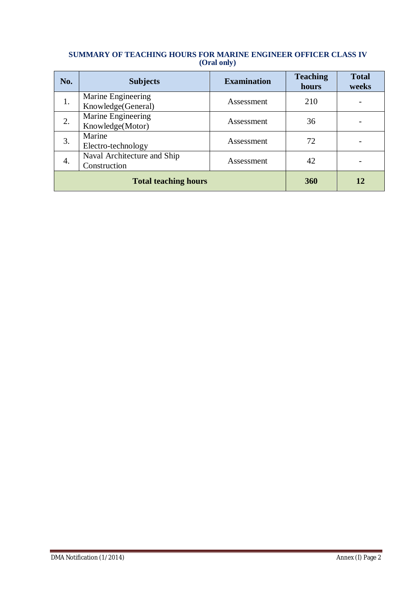#### **SUMMARY OF TEACHING HOURS FOR MARINE ENGINEER OFFICER CLASS IV (Oral only)**

| No. | <b>Subjects</b>                             | <b>Examination</b> | <b>Teaching</b><br>hours | <b>Total</b><br>weeks |
|-----|---------------------------------------------|--------------------|--------------------------|-----------------------|
| 1.  | Marine Engineering<br>Knowledge(General)    | Assessment         | 210                      |                       |
| 2.  | Marine Engineering<br>Knowledge(Motor)      | Assessment         | 36                       |                       |
| 3.  | Marine<br>Electro-technology                | Assessment         | 72                       |                       |
| 4.  | Naval Architecture and Ship<br>Construction | Assessment         | 42                       |                       |
|     | <b>Total teaching hours</b>                 | 360                | 12                       |                       |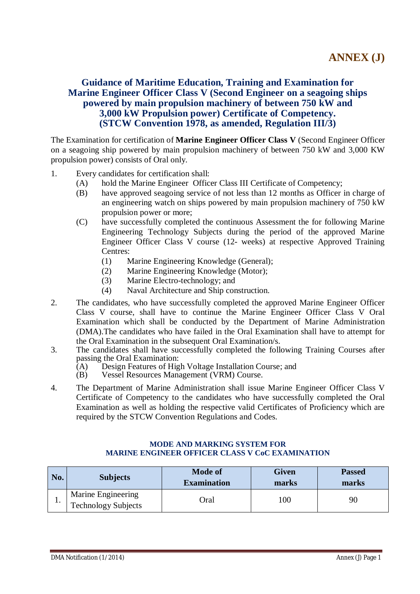# **Guidance of Maritime Education, Training and Examination for Marine Engineer Officer Class V (Second Engineer on a seagoing ships powered by main propulsion machinery of between 750 kW and 3,000 kW Propulsion power) Certificate of Competency. (STCW Convention 1978, as amended, Regulation III/3)**

The Examination for certification of **Marine Engineer Officer Class V** (Second Engineer Officer on a seagoing ship powered by main propulsion machinery of between 750 kW and 3,000 KW propulsion power) consists of Oral only.

- 1. Every candidates for certification shall:
	- (A) hold the Marine Engineer Officer Class III Certificate of Competency;
	- (B) have approved seagoing service of not less than 12 months as Officer in charge of an engineering watch on ships powered by main propulsion machinery of 750 kW propulsion power or more;
	- (C) have successfully completed the continuous Assessment the for following Marine Engineering Technology Subjects during the period of the approved Marine Engineer Officer Class V course (12- weeks) at respective Approved Training Centres:
		- (1) Marine Engineering Knowledge (General);
		- (2) Marine Engineering Knowledge (Motor);
		- (3) Marine Electro-technology; and
		- (4) Naval Architecture and Ship construction.
- 2. The candidates, who have successfully completed the approved Marine Engineer Officer Class V course, shall have to continue the Marine Engineer Officer Class V Oral Examination which shall be conducted by the Department of Marine Administration (DMA).The candidates who have failed in the Oral Examination shall have to attempt for the Oral Examination in the subsequent Oral Examination/s.
- 3. The candidates shall have successfully completed the following Training Courses after passing the Oral Examination:<br>(A) Design Features of Hig
	- (A) Design Features of High Voltage Installation Course; and (B) Vessel Resources Management (VRM) Course.
	- Vessel Resources Management (VRM) Course.
- 4. The Department of Marine Administration shall issue Marine Engineer Officer Class V Certificate of Competency to the candidates who have successfully completed the Oral Examination as well as holding the respective valid Certificates of Proficiency which are required by the STCW Convention Regulations and Codes.

#### **MODE AND MARKING SYSTEM FOR MARINE ENGINEER OFFICER CLASS V CoC EXAMINATION**

| No. | <b>Subjects</b>                                  | <b>Mode of</b><br><b>Examination</b> | <b>Given</b><br>marks | <b>Passed</b><br>marks |
|-----|--------------------------------------------------|--------------------------------------|-----------------------|------------------------|
|     | Marine Engineering<br><b>Technology Subjects</b> | .<br>Oral                            | 100                   | 90                     |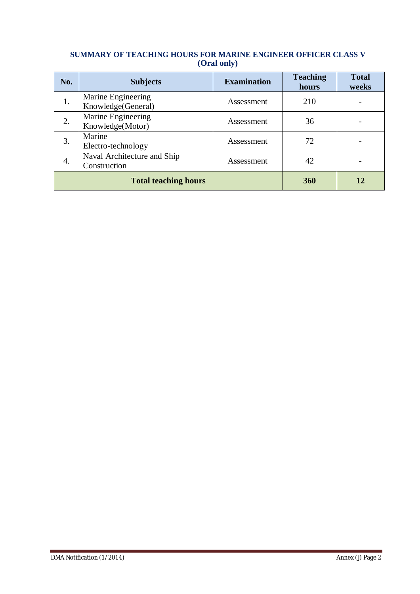### **SUMMARY OF TEACHING HOURS FOR MARINE ENGINEER OFFICER CLASS V (Oral only)**

| No. | <b>Subjects</b>                             | <b>Examination</b> | <b>Teaching</b><br>hours | <b>Total</b><br>weeks |
|-----|---------------------------------------------|--------------------|--------------------------|-----------------------|
| 1.  | Marine Engineering<br>Knowledge(General)    | Assessment         | 210                      |                       |
| 2.  | Marine Engineering<br>Knowledge(Motor)      | Assessment         | 36                       |                       |
| 3.  | Marine<br>Electro-technology                | Assessment         | 72                       |                       |
| 4.  | Naval Architecture and Ship<br>Construction | Assessment         | 42                       |                       |
|     | <b>Total teaching hours</b>                 | 360                | 12                       |                       |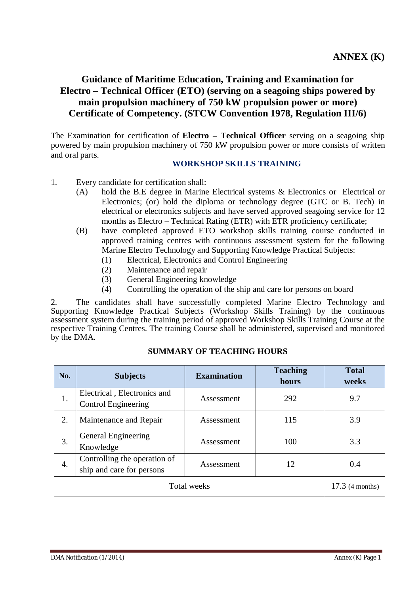# **Guidance of Maritime Education, Training and Examination for Electro – Technical Officer (ETO) (serving on a seagoing ships powered by main propulsion machinery of 750 kW propulsion power or more) Certificate of Competency. (STCW Convention 1978, Regulation III/6)**

The Examination for certification of **Electro – Technical Officer** serving on a seagoing ship powered by main propulsion machinery of 750 kW propulsion power or more consists of written and oral parts.

### **WORKSHOP SKILLS TRAINING**

- 1. Every candidate for certification shall:
	- (A) hold the B.E degree in Marine Electrical systems & Electronics or Electrical or Electronics; (or) hold the diploma or technology degree (GTC or B. Tech) in electrical or electronics subjects and have served approved seagoing service for 12 months as Electro – Technical Rating (ETR) with ETR proficiency certificate;
	- (B) have completed approved ETO workshop skills training course conducted in approved training centres with continuous assessment system for the following Marine Electro Technology and Supporting Knowledge Practical Subjects:
		- (1) Electrical, Electronics and Control Engineering
		- (2) Maintenance and repair
		- (3) General Engineering knowledge
		- (4) Controlling the operation of the ship and care for persons on board

2. The candidates shall have successfully completed Marine Electro Technology and Supporting Knowledge Practical Subjects (Workshop Skills Training) by the continuous assessment system during the training period of approved Workshop Skills Training Course at the respective Training Centres. The training Course shall be administered, supervised and monitored by the DMA.

| No. | <b>Subjects</b>                                           | <b>Examination</b> | <b>Teaching</b><br>hours | <b>Total</b><br>weeks |
|-----|-----------------------------------------------------------|--------------------|--------------------------|-----------------------|
| 1.  | Electrical, Electronics and<br>Control Engineering        | Assessment         | 292                      | 9.7                   |
| 2.  | Maintenance and Repair                                    | Assessment         | 115                      | 3.9                   |
| 3.  | General Engineering<br>Knowledge                          | Assessment         | 100                      | 3.3                   |
| 4.  | Controlling the operation of<br>ship and care for persons | Assessment         | 12                       | 0.4                   |
|     | $17.3$ (4 months)                                         |                    |                          |                       |

### **SUMMARY OF TEACHING HOURS**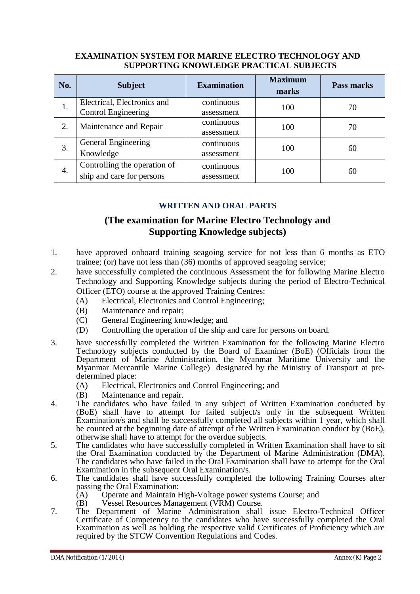### **EXAMINATION SYSTEM FOR MARINE ELECTRO TECHNOLOGY AND SUPPORTING KNOWLEDGE PRACTICAL SUBJECTS**

| No. | <b>Subject</b>                                            | <b>Examination</b>       | <b>Maximum</b><br>marks | Pass marks |
|-----|-----------------------------------------------------------|--------------------------|-------------------------|------------|
| 1.  | Electrical, Electronics and<br><b>Control Engineering</b> | continuous<br>assessment | 100                     | 70         |
| 2.  | Maintenance and Repair                                    | continuous<br>assessment | 100                     | 70         |
| 3.  | General Engineering<br>Knowledge                          | continuous<br>assessment | 100                     | 60         |
| 4.  | Controlling the operation of<br>ship and care for persons | continuous<br>assessment | 100                     | 60         |

# **WRITTEN AND ORAL PARTS**

# **(The examination for Marine Electro Technology and Supporting Knowledge subjects)**

- 1. have approved onboard training seagoing service for not less than 6 months as ETO trainee; (or) have not less than (36) months of approved seagoing service;
- 2. have successfully completed the continuous Assessment the for following Marine Electro Technology and Supporting Knowledge subjects during the period of Electro-Technical Officer (ETO) course at the approved Training Centres:
	- (A) Electrical, Electronics and Control Engineering;
	- (B) Maintenance and repair;
	- (C) General Engineering knowledge; and
	- (D) Controlling the operation of the ship and care for persons on board.
- 3. have successfully completed the Written Examination for the following Marine Electro Technology subjects conducted by the Board of Examiner (BoE) (Officials from the Department of Marine Administration, the Myanmar Maritime University and the Myanmar Mercantile Marine College) designated by the Ministry of Transport at predetermined place:
	- (A) Electrical, Electronics and Control Engineering; and
	- (B) Maintenance and repair.
- 4. The candidates who have failed in any subject of Written Examination conducted by (BoE) shall have to attempt for failed subject/s only in the subsequent Written Examination/s and shall be successfully completed all subjects within 1 year, which shall be counted at the beginning date of attempt of the Written Examination conduct by (BoE), otherwise shall have to attempt for the overdue subjects.
- 5. The candidates who have successfully completed in Written Examination shall have to sit the Oral Examination conducted by the Department of Marine Administration (DMA). The candidates who have failed in the Oral Examination shall have to attempt for the Oral Examination in the subsequent Oral Examination/s.
- 6. The candidates shall have successfully completed the following Training Courses after passing the Oral Examination:
	- (A) Operate and Maintain High-Voltage power systems Course; and
	- (B) Vessel Resources Management (VRM) Course.
- 7. The Department of Marine Administration shall issue Electro-Technical Officer Certificate of Competency to the candidates who have successfully completed the Oral Examination as well as holding the respective valid Certificates of Proficiency which are required by the STCW Convention Regulations and Codes.